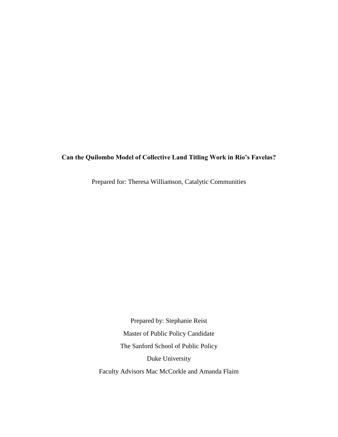#### **Can the Quilombo Model of Collective Land Titling Work in Rio's Favelas?**

Prepared for: Theresa Williamson, Catalytic Communities

Prepared by: Stephanie Reist Master of Public Policy Candidate The Sanford School of Public Policy Duke University Faculty Advisors Mac McCorkle and Amanda Flaim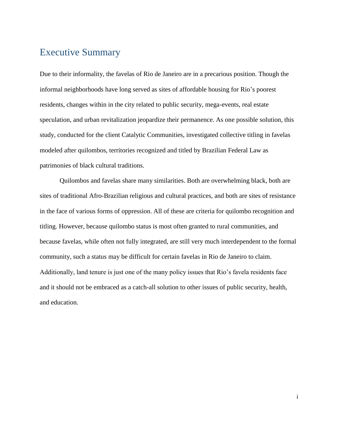# <span id="page-1-0"></span>Executive Summary

Due to their informality, the favelas of Rio de Janeiro are in a precarious position. Though the informal neighborhoods have long served as sites of affordable housing for Rio's poorest residents, changes within in the city related to public security, mega-events, real estate speculation, and urban revitalization jeopardize their permanence. As one possible solution, this study, conducted for the client Catalytic Communities, investigated collective titling in favelas modeled after quilombos, territories recognized and titled by Brazilian Federal Law as patrimonies of black cultural traditions.

Quilombos and favelas share many similarities. Both are overwhelming black, both are sites of traditional Afro-Brazilian religious and cultural practices, and both are sites of resistance in the face of various forms of oppression. All of these are criteria for quilombo recognition and titling. However, because quilombo status is most often granted to rural communities, and because favelas, while often not fully integrated, are still very much interdependent to the formal community, such a status may be difficult for certain favelas in Rio de Janeiro to claim. Additionally, land tenure is just one of the many policy issues that Rio's favela residents face and it should not be embraced as a catch-all solution to other issues of public security, health, and education.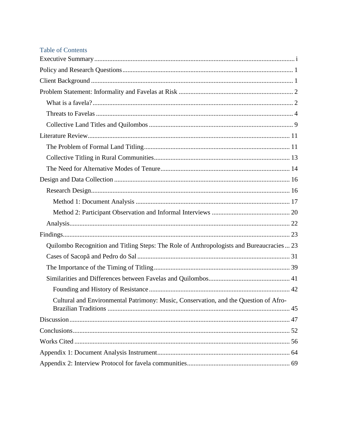### Table of Contents

| Quilombo Recognition and Titling Steps: The Role of Anthropologists and Bureaucracies  23 |
|-------------------------------------------------------------------------------------------|
|                                                                                           |
|                                                                                           |
|                                                                                           |
|                                                                                           |
| Cultural and Environmental Patrimony: Music, Conservation, and the Question of Afro-      |
|                                                                                           |
|                                                                                           |
|                                                                                           |
|                                                                                           |
|                                                                                           |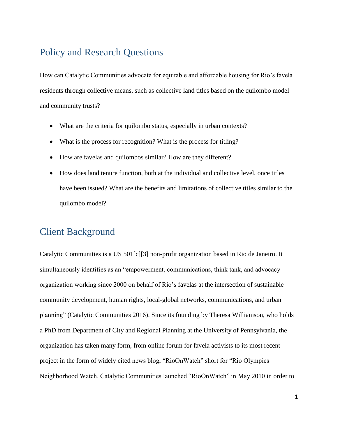# <span id="page-4-0"></span>Policy and Research Questions

How can Catalytic Communities advocate for equitable and affordable housing for Rio's favela residents through collective means, such as collective land titles based on the quilombo model and community trusts?

- What are the criteria for quilombo status, especially in urban contexts?
- What is the process for recognition? What is the process for titling?
- How are favelas and quilombos similar? How are they different?
- How does land tenure function, both at the individual and collective level, once titles have been issued? What are the benefits and limitations of collective titles similar to the quilombo model?

## <span id="page-4-1"></span>Client Background

Catalytic Communities is a US 501[c][3] non-profit organization based in Rio de Janeiro. It simultaneously identifies as an "empowerment, communications, think tank, and advocacy organization working since 2000 on behalf of Rio's favelas at the intersection of sustainable community development, human rights, local-global networks, communications, and urban planning" (Catalytic Communities 2016). Since its founding by Theresa Williamson, who holds a PhD from Department of City and Regional Planning at the University of Pennsylvania, the organization has taken many form, from online forum for favela activists to its most recent project in the form of widely cited news blog, "RioOnWatch" short for "Rio Olympics Neighborhood Watch. Catalytic Communities launched "RioOnWatch" in May 2010 in order to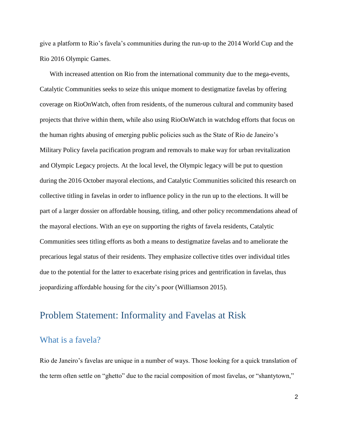give a platform to Rio's favela's communities during the run-up to the 2014 World Cup and the Rio 2016 Olympic Games.

With increased attention on Rio from the international community due to the mega-events, Catalytic Communities seeks to seize this unique moment to destigmatize favelas by offering coverage on RioOnWatch, often from residents, of the numerous cultural and community based projects that thrive within them, while also using RioOnWatch in watchdog efforts that focus on the human rights abusing of emerging public policies such as the State of Rio de Janeiro's Military Policy favela pacification program and removals to make way for urban revitalization and Olympic Legacy projects. At the local level, the Olympic legacy will be put to question during the 2016 October mayoral elections, and Catalytic Communities solicited this research on collective titling in favelas in order to influence policy in the run up to the elections. It will be part of a larger dossier on affordable housing, titling, and other policy recommendations ahead of the mayoral elections. With an eye on supporting the rights of favela residents, Catalytic Communities sees titling efforts as both a means to destigmatize favelas and to ameliorate the precarious legal status of their residents. They emphasize collective titles over individual titles due to the potential for the latter to exacerbate rising prices and gentrification in favelas, thus jeopardizing affordable housing for the city's poor (Williamson 2015).

## <span id="page-5-0"></span>Problem Statement: Informality and Favelas at Risk

## <span id="page-5-1"></span>What is a favela?

Rio de Janeiro's favelas are unique in a number of ways. Those looking for a quick translation of the term often settle on "ghetto" due to the racial composition of most favelas, or "shantytown,"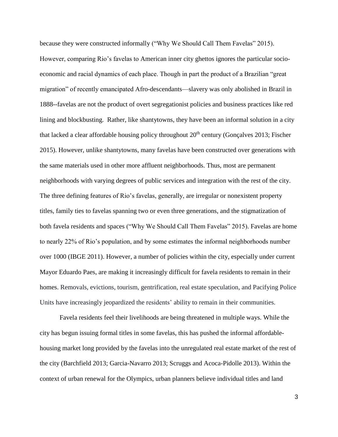because they were constructed informally ("Why We Should Call Them Favelas" 2015). However, comparing Rio's favelas to American inner city ghettos ignores the particular socioeconomic and racial dynamics of each place. Though in part the product of a Brazilian "great migration" of recently emancipated Afro-descendants—slavery was only abolished in Brazil in 1888--favelas are not the product of overt segregationist policies and business practices like red lining and blockbusting. Rather, like shantytowns, they have been an informal solution in a city that lacked a clear affordable housing policy throughout  $20<sup>th</sup>$  century (Gonçalves 2013; Fischer 2015). However, unlike shantytowns, many favelas have been constructed over generations with the same materials used in other more affluent neighborhoods. Thus, most are permanent neighborhoods with varying degrees of public services and integration with the rest of the city. The three defining features of Rio's favelas, generally, are irregular or nonexistent property titles, family ties to favelas spanning two or even three generations, and the stigmatization of both favela residents and spaces ("Why We Should Call Them Favelas" 2015). Favelas are home to nearly 22% of Rio's population, and by some estimates the informal neighborhoods number over 1000 (IBGE 2011). However, a number of policies within the city, especially under current Mayor Eduardo Paes, are making it increasingly difficult for favela residents to remain in their homes. Removals, evictions, tourism, gentrification, real estate speculation, and Pacifying Police Units have increasingly jeopardized the residents' ability to remain in their communities.

Favela residents feel their livelihoods are being threatened in multiple ways. While the city has begun issuing formal titles in some favelas, this has pushed the informal affordablehousing market long provided by the favelas into the unregulated real estate market of the rest of the city (Barchfield 2013; Garcia-Navarro 2013; Scruggs and Acoca-Pidolle 2013). Within the context of urban renewal for the Olympics, urban planners believe individual titles and land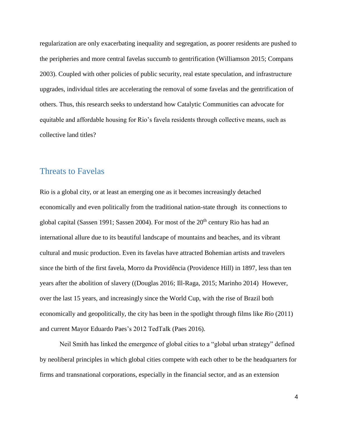regularization are only exacerbating inequality and segregation, as poorer residents are pushed to the peripheries and more central favelas succumb to gentrification (Williamson 2015; Compans 2003). Coupled with other policies of public security, real estate speculation, and infrastructure upgrades, individual titles are accelerating the removal of some favelas and the gentrification of others. Thus, this research seeks to understand how Catalytic Communities can advocate for equitable and affordable housing for Rio's favela residents through collective means, such as collective land titles?

#### <span id="page-7-0"></span>Threats to Favelas

Rio is a global city, or at least an emerging one as it becomes increasingly detached economically and even politically from the traditional nation-state through its connections to global capital (Sassen 1991; Sassen 2004). For most of the 20<sup>th</sup> century Rio has had an international allure due to its beautiful landscape of mountains and beaches, and its vibrant cultural and music production. Even its favelas have attracted Bohemian artists and travelers since the birth of the first favela, Morro da Providência (Providence Hill) in 1897, less than ten years after the abolition of slavery ((Douglas 2016; Ill-Raga, 2015; Marinho 2014) However, over the last 15 years, and increasingly since the World Cup, with the rise of Brazil both economically and geopolitically, the city has been in the spotlight through films like *Rio* (2011) and current Mayor Eduardo Paes's 2012 TedTalk (Paes 2016).

Neil Smith has linked the emergence of global cities to a "global urban strategy" defined by neoliberal principles in which global cities compete with each other to be the headquarters for firms and transnational corporations, especially in the financial sector, and as an extension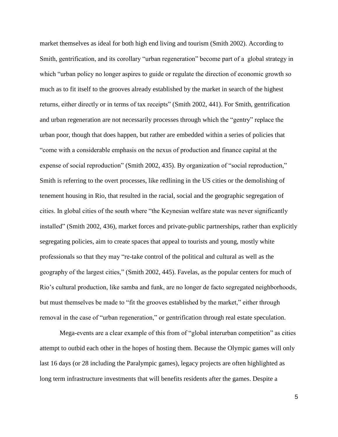market themselves as ideal for both high end living and tourism (Smith 2002). According to Smith, gentrification, and its corollary "urban regeneration" become part of a global strategy in which "urban policy no longer aspires to guide or regulate the direction of economic growth so much as to fit itself to the grooves already established by the market in search of the highest returns, either directly or in terms of tax receipts" (Smith 2002, 441). For Smith, gentrification and urban regeneration are not necessarily processes through which the "gentry" replace the urban poor, though that does happen, but rather are embedded within a series of policies that "come with a considerable emphasis on the nexus of production and finance capital at the expense of social reproduction" (Smith 2002, 435). By organization of "social reproduction," Smith is referring to the overt processes, like redlining in the US cities or the demolishing of tenement housing in Rio, that resulted in the racial, social and the geographic segregation of cities. In global cities of the south where "the Keynesian welfare state was never significantly installed" (Smith 2002, 436), market forces and private-public partnerships, rather than explicitly segregating policies, aim to create spaces that appeal to tourists and young, mostly white professionals so that they may "re-take control of the political and cultural as well as the geography of the largest cities," (Smith 2002, 445). Favelas, as the popular centers for much of Rio's cultural production, like samba and funk, are no longer de facto segregated neighborhoods, but must themselves be made to "fit the grooves established by the market," either through removal in the case of "urban regeneration," or gentrification through real estate speculation.

Mega-events are a clear example of this from of "global interurban competition" as cities attempt to outbid each other in the hopes of hosting them. Because the Olympic games will only last 16 days (or 28 including the Paralympic games), legacy projects are often highlighted as long term infrastructure investments that will benefits residents after the games. Despite a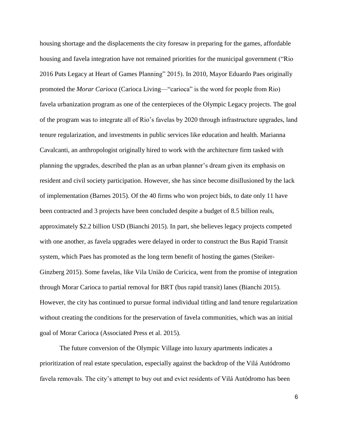housing shortage and the displacements the city foresaw in preparing for the games, affordable housing and favela integration have not remained priorities for the municipal government ("Rio 2016 Puts Legacy at Heart of Games Planning" 2015). In 2010, Mayor Eduardo Paes originally promoted the *Morar Carioca* (Carioca Living—"carioca" is the word for people from Rio) favela urbanization program as one of the centerpieces of the Olympic Legacy projects. The goal of the program was to integrate all of Rio's favelas by 2020 through infrastructure upgrades, land tenure regularization, and investments in public services like education and health. Marianna Cavalcanti, an anthropologist originally hired to work with the architecture firm tasked with planning the upgrades, described the plan as an urban planner's dream given its emphasis on resident and civil society participation. However, she has since become disillusioned by the lack of implementation (Barnes 2015). Of the 40 firms who won project bids, to date only 11 have been contracted and 3 projects have been concluded despite a budget of 8.5 billion reals, approximately \$2.2 billion USD (Bianchi 2015). In part, she believes legacy projects competed with one another, as favela upgrades were delayed in order to construct the Bus Rapid Transit system, which Paes has promoted as the long term benefit of hosting the games (Steiker-Ginzberg 2015). Some favelas, like Vila União de Curicica, went from the promise of integration through Morar Carioca to partial removal for BRT (bus rapid transit) lanes (Bianchi 2015). However, the city has continued to pursue formal individual titling and land tenure regularization without creating the conditions for the preservation of favela communities, which was an initial goal of Morar Carioca (Associated Press et al. 2015).

The future conversion of the Olympic Village into luxury apartments indicates a prioritization of real estate speculation, especially against the backdrop of the Vilá Autódromo favela removals. The city's attempt to buy out and evict residents of Vilá Autódromo has been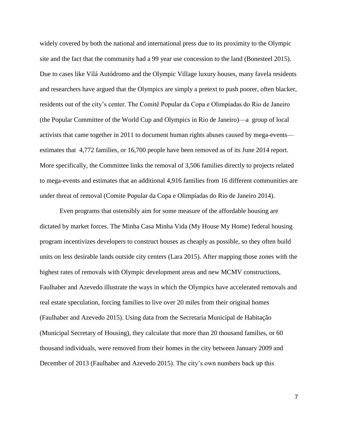widely covered by both the national and international press due to its proximity to the Olympic site and the fact that the community had a 99 year use concession to the land (Bonesteel 2015). Due to cases like Vilá Autódromo and the Olympic Village luxury houses, many favela residents and researchers have argued that the Olympics are simply a pretext to push poorer, often blacker, residents out of the city's center. The Comitê Popular da Copa e Olimpíadas do Rio de Janeiro (the Popular Committee of the World Cup and Olympics in Rio de Janeiro)—a group of local activists that came together in 2011 to document human rights abuses caused by mega-events estimates that 4,772 families, or 16,700 people have been removed as of its June 2014 report. More specifically, the Committee links the removal of 3,506 families directly to projects related to mega-events and estimates that an additional 4,916 families from 16 different communities are under threat of removal (Comite Popular da Copa e Olimpíadas do Rio de Janeiro 2014).

Even programs that ostensibly aim for some measure of the affordable housing are dictated by market forces. The Minha Casa Minha Vida (My House My Home) federal housing program incentivizes developers to construct houses as cheaply as possible, so they often build units on less desirable lands outside city centers (Lara 2015). After mapping those zones with the highest rates of removals with Olympic development areas and new MCMV constructions, Faulhaber and Azevedo illustrate the ways in which the Olympics have accelerated removals and real estate speculation, forcing families to live over 20 miles from their original homes (Faulhaber and Azevedo 2015). Using data from the Secretaria Municipal de Habitação (Municipal Secretary of Housing), they calculate that more than 20 thousand families, or 60 thousand individuals, were removed from their homes in the city between January 2009 and December of 2013 (Faulhaber and Azevedo 2015). The city's own numbers back up this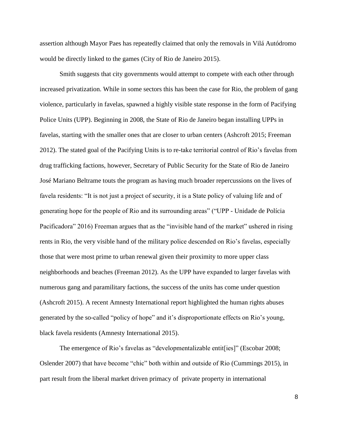assertion although Mayor Paes has repeatedly claimed that only the removals in Vilá Autódromo would be directly linked to the games (City of Rio de Janeiro 2015).

Smith suggests that city governments would attempt to compete with each other through increased privatization. While in some sectors this has been the case for Rio, the problem of gang violence, particularly in favelas, spawned a highly visible state response in the form of Pacifying Police Units (UPP). Beginning in 2008, the State of Rio de Janeiro began installing UPPs in favelas, starting with the smaller ones that are closer to urban centers (Ashcroft 2015; Freeman 2012). The stated goal of the Pacifying Units is to re-take territorial control of Rio's favelas from drug trafficking factions, however, Secretary of Public Security for the State of Rio de Janeiro José Mariano Beltrame touts the program as having much broader repercussions on the lives of favela residents: "It is not just a project of security, it is a State policy of valuing life and of generating hope for the people of Rio and its surrounding areas" ("UPP - Unidade de Polícia Pacificadora" 2016) Freeman argues that as the "invisible hand of the market" ushered in rising rents in Rio, the very visible hand of the military police descended on Rio's favelas, especially those that were most prime to urban renewal given their proximity to more upper class neighborhoods and beaches (Freeman 2012). As the UPP have expanded to larger favelas with numerous gang and paramilitary factions, the success of the units has come under question (Ashcroft 2015). A recent Amnesty International report highlighted the human rights abuses generated by the so-called "policy of hope" and it's disproportionate effects on Rio's young, black favela residents (Amnesty International 2015).

The emergence of Rio's favelas as "developmentalizable entit[ies]" (Escobar 2008; Oslender 2007) that have become "chic" both within and outside of Rio (Cummings 2015), in part result from the liberal market driven primacy of private property in international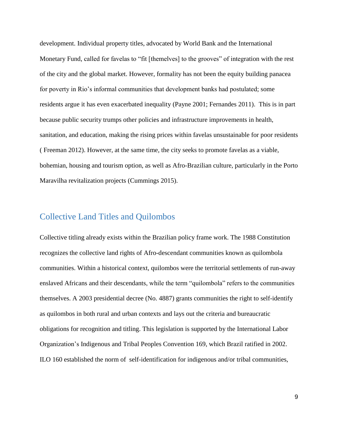development. Individual property titles, advocated by World Bank and the International Monetary Fund, called for favelas to "fit [themelves] to the grooves" of integration with the rest of the city and the global market. However, formality has not been the equity building panacea for poverty in Rio's informal communities that development banks had postulated; some residents argue it has even exacerbated inequality (Payne 2001; Fernandes 2011). This is in part because public security trumps other policies and infrastructure improvements in health, sanitation, and education, making the rising prices within favelas unsustainable for poor residents ( Freeman 2012). However, at the same time, the city seeks to promote favelas as a viable, bohemian, housing and tourism option, as well as Afro-Brazilian culture, particularly in the Porto Maravilha revitalization projects (Cummings 2015).

## <span id="page-12-0"></span>Collective Land Titles and Quilombos

Collective titling already exists within the Brazilian policy frame work. The 1988 Constitution recognizes the collective land rights of Afro-descendant communities known as quilombola communities. Within a historical context, quilombos were the territorial settlements of run-away enslaved Africans and their descendants, while the term "quilombola" refers to the communities themselves. A 2003 presidential decree (No. 4887) grants communities the right to self-identify as quilombos in both rural and urban contexts and lays out the criteria and bureaucratic obligations for recognition and titling. This legislation is supported by the International Labor Organization's Indigenous and Tribal Peoples Convention 169, which Brazil ratified in 2002. ILO 160 established the norm of self-identification for indigenous and/or tribal communities,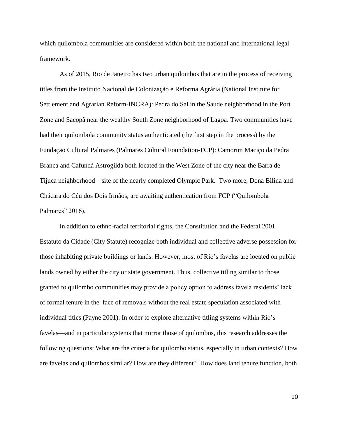which quilombola communities are considered within both the national and international legal framework.

As of 2015, Rio de Janeiro has two urban quilombos that are in the process of receiving titles from the Instituto Nacional de Colonização e Reforma Agrária (National Institute for Settlement and Agrarian Reform-INCRA): Pedra do Sal in the Saude neighborhood in the Port Zone and Sacopã near the wealthy South Zone neighborhood of Lagoa. Two communities have had their quilombola community status authenticated (the first step in the process) by the Fundação Cultural Palmares (Palmares Cultural Foundation-FCP): Camorim Maciço da Pedra Branca and Cafundá Astrogilda both located in the West Zone of the city near the Barra de Tijuca neighborhood—site of the nearly completed Olympic Park. Two more, Dona Bilina and Chácara do Céu dos Dois Irmãos, are awaiting authentication from FCP ("Quilombola | Palmares" 2016).

In addition to ethno-racial territorial rights, the Constitution and the Federal 2001 Estatuto da Cidade (City Statute) recognize both individual and collective adverse possession for those inhabiting private buildings or lands. However, most of Rio's favelas are located on public lands owned by either the city or state government. Thus, collective titling similar to those granted to quilombo communities may provide a policy option to address favela residents' lack of formal tenure in the face of removals without the real estate speculation associated with individual titles (Payne 2001). In order to explore alternative titling systems within Rio's favelas—and in particular systems that mirror those of quilombos, this research addresses the following questions: What are the criteria for quilombo status, especially in urban contexts? How are favelas and quilombos similar? How are they different? How does land tenure function, both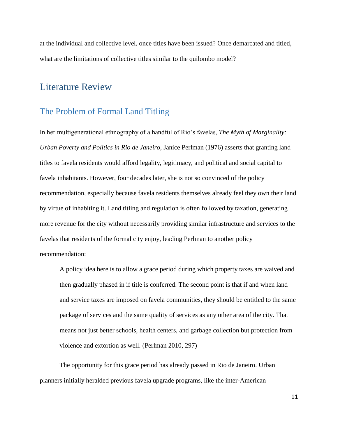at the individual and collective level, once titles have been issued? Once demarcated and titled, what are the limitations of collective titles similar to the quilombo model?

# <span id="page-14-0"></span>Literature Review

## <span id="page-14-1"></span>The Problem of Formal Land Titling

In her multigenerational ethnography of a handful of Rio's favelas, *The Myth of Marginality: Urban Poverty and Politics in Rio de Janeiro,* Janice Perlman (1976) asserts that granting land titles to favela residents would afford legality, legitimacy, and political and social capital to favela inhabitants. However, four decades later, she is not so convinced of the policy recommendation, especially because favela residents themselves already feel they own their land by virtue of inhabiting it. Land titling and regulation is often followed by taxation, generating more revenue for the city without necessarily providing similar infrastructure and services to the favelas that residents of the formal city enjoy, leading Perlman to another policy recommendation:

A policy idea here is to allow a grace period during which property taxes are waived and then gradually phased in if title is conferred. The second point is that if and when land and service taxes are imposed on favela communities, they should be entitled to the same package of services and the same quality of services as any other area of the city. That means not just better schools, health centers, and garbage collection but protection from violence and extortion as well. (Perlman 2010, 297)

The opportunity for this grace period has already passed in Rio de Janeiro. Urban planners initially heralded previous favela upgrade programs, like the inter-American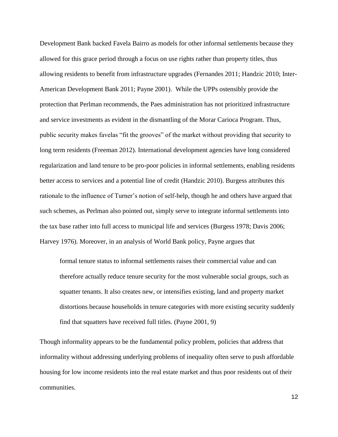Development Bank backed Favela Bairro as models for other informal settlements because they allowed for this grace period through a focus on use rights rather than property titles, thus allowing residents to benefit from infrastructure upgrades (Fernandes 2011; Handzic 2010; Inter-American Development Bank 2011; Payne 2001). While the UPPs ostensibly provide the protection that Perlman recommends, the Paes administration has not prioritized infrastructure and service investments as evident in the dismantling of the Morar Carioca Program. Thus, public security makes favelas "fit the grooves" of the market without providing that security to long term residents (Freeman 2012). International development agencies have long considered regularization and land tenure to be pro-poor policies in informal settlements, enabling residents better access to services and a potential line of credit (Handzic 2010). Burgess attributes this rationale to the influence of Turner's notion of self-help, though he and others have argued that such schemes, as Perlman also pointed out, simply serve to integrate informal settlements into the tax base rather into full access to municipal life and services (Burgess 1978; Davis 2006; Harvey 1976). Moreover, in an analysis of World Bank policy, Payne argues that

formal tenure status to informal settlements raises their commercial value and can therefore actually reduce tenure security for the most vulnerable social groups, such as squatter tenants. It also creates new, or intensifies existing, land and property market distortions because households in tenure categories with more existing security suddenly find that squatters have received full titles. (Payne 2001, 9)

Though informality appears to be the fundamental policy problem, policies that address that informality without addressing underlying problems of inequality often serve to push affordable housing for low income residents into the real estate market and thus poor residents out of their communities.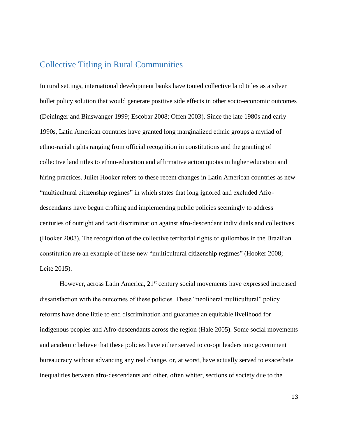## <span id="page-16-0"></span>Collective Titling in Rural Communities

In rural settings, international development banks have touted collective land titles as a silver bullet policy solution that would generate positive side effects in other socio-economic outcomes (Deinlnger and Binswanger 1999; Escobar 2008; Offen 2003). Since the late 1980s and early 1990s, Latin American countries have granted long marginalized ethnic groups a myriad of ethno-racial rights ranging from official recognition in constitutions and the granting of collective land titles to ethno-education and affirmative action quotas in higher education and hiring practices. Juliet Hooker refers to these recent changes in Latin American countries as new "multicultural citizenship regimes" in which states that long ignored and excluded Afrodescendants have begun crafting and implementing public policies seemingly to address centuries of outright and tacit discrimination against afro-descendant individuals and collectives (Hooker 2008). The recognition of the collective territorial rights of quilombos in the Brazilian constitution are an example of these new "multicultural citizenship regimes" (Hooker 2008; Leite 2015).

However, across Latin America, 21<sup>st</sup> century social movements have expressed increased dissatisfaction with the outcomes of these policies. These "neoliberal multicultural" policy reforms have done little to end discrimination and guarantee an equitable livelihood for indigenous peoples and Afro-descendants across the region (Hale 2005). Some social movements and academic believe that these policies have either served to co-opt leaders into government bureaucracy without advancing any real change, or, at worst, have actually served to exacerbate inequalities between afro-descendants and other, often whiter, sections of society due to the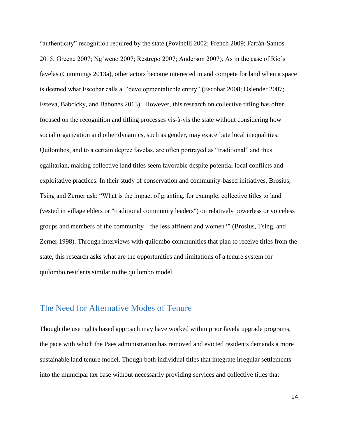"authenticity" recognition required by the state (Povinelli 2002; French 2009; Farfán-Santos 2015; Greene 2007; Ng'weno 2007; Restrepo 2007; Anderson 2007). As in the case of Rio's favelas (Cummings 2013a), other actors become interested in and compete for land when a space is deemed what Escobar calls a "developmentalizble entity" (Escobar 2008; Oslender 2007; Esteva, Babcicky, and Babones 2013). However, this research on collective titling has often focused on the recognition and titling processes vis-à-vis the state without considering how social organization and other dynamics, such as gender, may exacerbate local inequalities. Quilombos, and to a certain degree favelas, are often portrayed as "traditional" and thus egalitarian, making collective land titles seem favorable despite potential local conflicts and exploitative practices. In their study of conservation and community-based initiatives, Brosius, Tsing and Zerner ask: "What is the impact of granting, for example, collective titles to land (vested in village elders or "traditional community leaders") on relatively powerless or voiceless groups and members of the community—the less affluent and women?" (Brosius, Tsing, and Zerner 1998). Through interviews with quilombo communities that plan to receive titles from the state, this research asks what are the opportunities and limitations of a tenure system for quilombo residents similar to the quilombo model.

### <span id="page-17-0"></span>The Need for Alternative Modes of Tenure

Though the use rights based approach may have worked within prior favela upgrade programs, the pace with which the Paes administration has removed and evicted residents demands a more sustainable land tenure model. Though both individual titles that integrate irregular settlements into the municipal tax base without necessarily providing services and collective titles that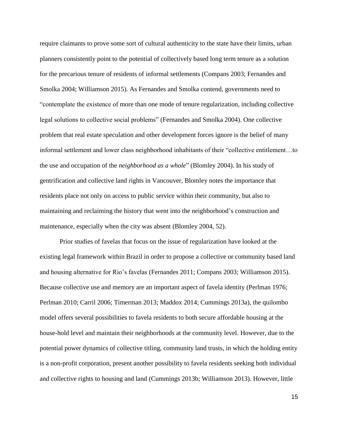require claimants to prove some sort of cultural authenticity to the state have their limits, urban planners consistently point to the potential of collectively based long term tenure as a solution for the precarious tenure of residents of informal settlements (Compans 2003; Fernandes and Smolka 2004; Williamson 2015). As Fernandes and Smolka contend, governments need to "contemplate the existence of more than one mode of tenure regularization, including collective legal solutions to collective social problems" (Fernandes and Smolka 2004). One collective problem that real estate speculation and other development forces ignore is the belief of many informal settlement and lower class neighborhood inhabitants of their "collective entitlement…to the use and occupation of the *neighborhood as a whole*" (Blomley 2004). In his study of gentrification and collective land rights in Vancouver, Blomley notes the importance that residents place not only on access to public service within their community, but also to maintaining and reclaiming the history that went into the neighborhood's construction and maintenance, especially when the city was absent (Blomley 2004, 52).

Prior studies of favelas that focus on the issue of regularization have looked at the existing legal framework within Brazil in order to propose a collective or community based land and housing alternative for Rio's favelas (Fernandes 2011; Compans 2003; Williamson 2015). Because collective use and memory are an important aspect of favela identity (Perlman 1976; Perlman 2010; Carril 2006; Timerman 2013; Maddox 2014; Cummings 2013a), the quilombo model offers several possibilities to favela residents to both secure affordable housing at the house-hold level and maintain their neighborhoods at the community level. However, due to the potential power dynamics of collective titling, community land trusts, in which the holding entity is a non-profit corporation, present another possibility to favela residents seeking both individual and collective rights to housing and land (Cummings 2013b; Williamson 2013). However, little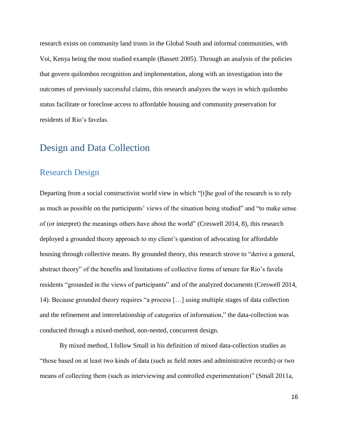research exists on community land trusts in the Global South and informal communities, with Voi, Kenya being the most studied example (Bassett 2005). Through an analysis of the policies that govern quilombos recognition and implementation, along with an investigation into the outcomes of previously successful claims, this research analyzes the ways in which quilombo status facilitate or foreclose access to affordable housing and community preservation for residents of Rio's favelas.

## <span id="page-19-0"></span>Design and Data Collection

## <span id="page-19-1"></span>Research Design

Departing from a social constructivist world view in which "[t]he goal of the research is to rely as much as possible on the participants' views of the situation being studied" and "to make sense of (or interpret) the meanings others have about the world" (Creswell 2014, 8), this research deployed a grounded theory approach to my client's question of advocating for affordable housing through collective means. By grounded theory, this research strove to "derive a general, abstract theory" of the benefits and limitations of collective forms of tenure for Rio's favela residents "grounded in the views of participants" and of the analyzed documents (Creswell 2014, 14). Because grounded theory requires "a process […] using multiple stages of data collection and the refinement and interrelationship of categories of information," the data-collection was conducted through a mixed-method, non-nested, concurrent design.

By mixed method, I follow Small in his definition of mixed data-collection studies as "those based on at least two kinds of data (such as field notes and administrative records) or two means of collecting them (such as interviewing and controlled experimentation)" (Small 2011a,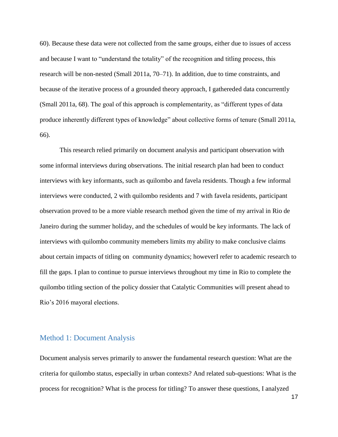60). Because these data were not collected from the same groups, either due to issues of access and because I want to "understand the totality" of the recognition and titling process, this research will be non-nested (Small 2011a, 70–71). In addition, due to time constraints, and because of the iterative process of a grounded theory approach, I gathereded data concurrently (Small 2011a, 68). The goal of this approach is complementarity, as "different types of data produce inherently different types of knowledge" about collective forms of tenure (Small 2011a, 66).

This research relied primarily on document analysis and participant observation with some informal interviews during observations. The initial research plan had been to conduct interviews with key informants, such as quilombo and favela residents. Though a few informal interviews were conducted, 2 with quilombo residents and 7 with favela residents, participant observation proved to be a more viable research method given the time of my arrival in Rio de Janeiro during the summer holiday, and the schedules of would be key informants. The lack of interviews with quilombo community memebers limits my ability to make conclusive claims about certain impacts of titling on community dynamics; howeverI refer to academic research to fill the gaps. I plan to continue to pursue interviews throughout my time in Rio to complete the quilombo titling section of the policy dossier that Catalytic Communities will present ahead to Rio's 2016 mayoral elections.

#### <span id="page-20-0"></span>Method 1: Document Analysis

Document analysis serves primarily to answer the fundamental research question: What are the criteria for quilombo status, especially in urban contexts? And related sub-questions: What is the process for recognition? What is the process for titling? To answer these questions, I analyzed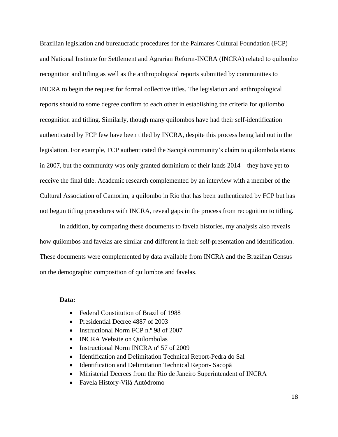Brazilian legislation and bureaucratic procedures for the Palmares Cultural Foundation (FCP) and National Institute for Settlement and Agrarian Reform-INCRA (INCRA) related to quilombo recognition and titling as well as the anthropological reports submitted by communities to INCRA to begin the request for formal collective titles. The legislation and anthropological reports should to some degree confirm to each other in establishing the criteria for quilombo recognition and titling. Similarly, though many quilombos have had their self-identification authenticated by FCP few have been titled by INCRA, despite this process being laid out in the legislation. For example, FCP authenticated the Sacopã community's claim to quilombola status in 2007, but the community was only granted dominium of their lands 2014—they have yet to receive the final title. Academic research complemented by an interview with a member of the Cultural Association of Camorim, a quilombo in Rio that has been authenticated by FCP but has not begun titling procedures with INCRA, reveal gaps in the process from recognition to titling.

In addition, by comparing these documents to favela histories, my analysis also reveals how quilombos and favelas are similar and different in their self-presentation and identification. These documents were complemented by data available from INCRA and the Brazilian Census on the demographic composition of quilombos and favelas.

#### **Data:**

- Federal Constitution of Brazil of 1988
- Presidential Decree 4887 of 2003
- Instructional Norm FCP n.º 98 of 2007
- INCRA Website on Quilombolas
- Instructional Norm INCRA n° 57 of 2009
- Identification and Delimitation Technical Report-Pedra do Sal
- Identification and Delimitation Technical Report- Sacopã
- Ministerial Decrees from the Rio de Janeiro Superintendent of INCRA
- Favela History-Vilá Autódromo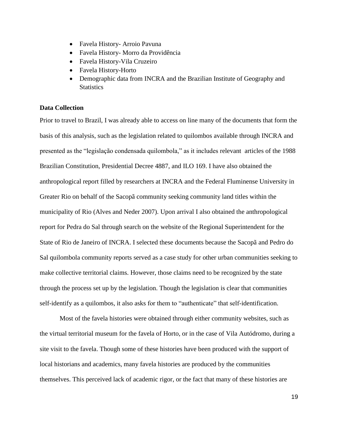- Favela History- Arroio Pavuna
- Favela History- Morro da Providência
- Favela History-Vila Cruzeiro
- Favela History-Horto
- Demographic data from INCRA and the Brazilian Institute of Geography and **Statistics**

#### **Data Collection**

Prior to travel to Brazil, I was already able to access on line many of the documents that form the basis of this analysis, such as the legislation related to quilombos available through INCRA and presented as the "legislação condensada quilombola," as it includes relevant articles of the 1988 Brazilian Constitution, Presidential Decree 4887, and ILO 169. I have also obtained the anthropological report filled by researchers at INCRA and the Federal Fluminense University in Greater Rio on behalf of the Sacopã community seeking community land titles within the municipality of Rio (Alves and Neder 2007). Upon arrival I also obtained the anthropological report for Pedra do Sal through search on the website of the Regional Superintendent for the State of Rio de Janeiro of INCRA. I selected these documents because the Sacopã and Pedro do Sal quilombola community reports served as a case study for other urban communities seeking to make collective territorial claims. However, those claims need to be recognized by the state through the process set up by the legislation. Though the legislation is clear that communities self-identify as a quilombos, it also asks for them to "authenticate" that self-identification.

Most of the favela histories were obtained through either community websites, such as the virtual territorial museum for the favela of Horto, or in the case of Vila Autódromo, during a site visit to the favela. Though some of these histories have been produced with the support of local historians and academics, many favela histories are produced by the communities themselves. This perceived lack of academic rigor, or the fact that many of these histories are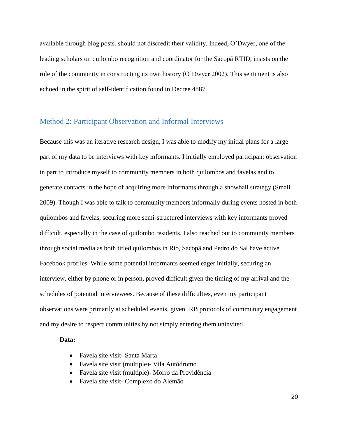available through blog posts, should not discredit their validity. Indeed, O'Dwyer, one of the leading scholars on quilombo recognition and coordinator for the Sacopã RTID, insists on the role of the community in constructing its own history (O'Dwyer 2002). This sentiment is also echoed in the spirit of self-identification found in Decree 4887.

#### <span id="page-23-0"></span>Method 2: Participant Observation and Informal Interviews

Because this was an iterative research design, I was able to modify my initial plans for a large part of my data to be interviews with key informants. I initially employed participant observation in part to introduce myself to community members in both quilombos and favelas and to generate contacts in the hope of acquiring more informants through a snowball strategy (Small 2009). Though I was able to talk to community members informally during events hosted in both quilombos and favelas, securing more semi-structured interviews with key informants proved difficult, especially in the case of quilombo residents. I also reached out to community members through social media as both titled quilombos in Rio, Sacopã and Pedro do Sal have active Facebook profiles. While some potential informants seemed eager initially, securing an interview, either by phone or in person, proved difficult given the timing of my arrival and the schedules of potential interviewees. Because of these difficulties, even my participant observations were primarily at scheduled events, given IRB protocols of community engagement and my desire to respect communities by not simply entering them uninvited.

#### **Data:**

- Favela site visit- Santa Marta
- Favela site visit (multiple)- Vila Autódromo
- Favela site visit (multiple)- Morro da Providência
- Favela site visit- Complexo do Alemão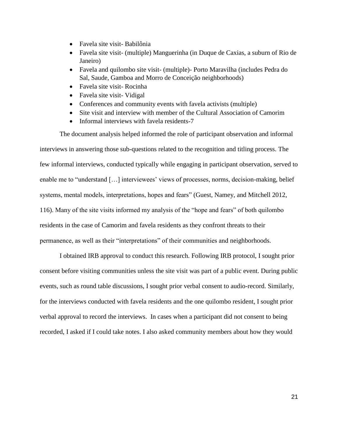- Favela site visit- Babilônia
- Favela site visit- (multiple) Manguerinha (in Duque de Caxias, a suburn of Rio de Janeiro)
- Favela and quilombo site visit- (multiple)- Porto Maravilha (includes Pedra do Sal, Saude, Gamboa and Morro de Conceição neighborhoods)
- Favela site visit- Rocinha
- Favela site visit- Vidigal
- Conferences and community events with favela activists (multiple)
- Site visit and interview with member of the Cultural Association of Camorim
- Informal interviews with favela residents-7

The document analysis helped informed the role of participant observation and informal interviews in answering those sub-questions related to the recognition and titling process. The few informal interviews, conducted typically while engaging in participant observation, served to enable me to "understand […] interviewees' views of processes, norms, decision-making, belief systems, mental models, interpretations, hopes and fears" (Guest, Namey, and Mitchell 2012, 116). Many of the site visits informed my analysis of the "hope and fears" of both quilombo residents in the case of Camorim and favela residents as they confront threats to their permanence, as well as their "interpretations" of their communities and neighborhoods.

I obtained IRB approval to conduct this research. Following IRB protocol, I sought prior consent before visiting communities unless the site visit was part of a public event. During public events, such as round table discussions, I sought prior verbal consent to audio-record. Similarly, for the interviews conducted with favela residents and the one quilombo resident, I sought prior verbal approval to record the interviews. In cases when a participant did not consent to being recorded, I asked if I could take notes. I also asked community members about how they would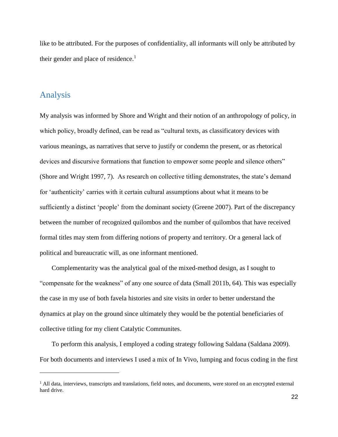like to be attributed. For the purposes of confidentiality, all informants will only be attributed by their gender and place of residence.<sup>1</sup>

## <span id="page-25-0"></span>Analysis

My analysis was informed by Shore and Wright and their notion of an anthropology of policy, in which policy, broadly defined, can be read as "cultural texts, as classificatory devices with various meanings, as narratives that serve to justify or condemn the present, or as rhetorical devices and discursive formations that function to empower some people and silence others" (Shore and Wright 1997, 7). As research on collective titling demonstrates, the state's demand for 'authenticity' carries with it certain cultural assumptions about what it means to be sufficiently a distinct 'people' from the dominant society (Greene 2007). Part of the discrepancy between the number of recognized quilombos and the number of quilombos that have received formal titles may stem from differing notions of property and territory. Or a general lack of political and bureaucratic will, as one informant mentioned.

Complementarity was the analytical goal of the mixed-method design, as I sought to "compensate for the weakness" of any one source of data (Small 2011b, 64). This was especially the case in my use of both favela histories and site visits in order to better understand the dynamics at play on the ground since ultimately they would be the potential beneficiaries of collective titling for my client Catalytic Communites.

To perform this analysis, I employed a coding strategy following Saldana (Saldana 2009). For both documents and interviews I used a mix of In Vivo, lumping and focus coding in the first

<sup>&</sup>lt;sup>1</sup> All data, interviews, transcripts and translations, field notes, and documents, were stored on an encrypted external hard drive.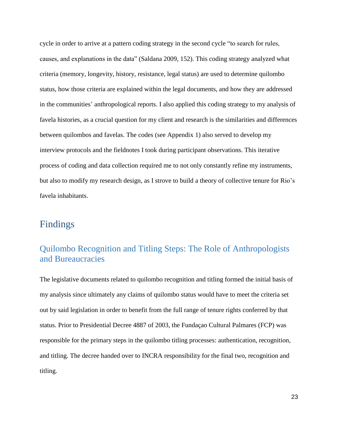cycle in order to arrive at a pattern coding strategy in the second cycle "to search for rules, causes, and explanations in the data" (Saldana 2009, 152). This coding strategy analyzed what criteria (memory, longevity, history, resistance, legal status) are used to determine quilombo status, how those criteria are explained within the legal documents, and how they are addressed in the communities' anthropological reports. I also applied this coding strategy to my analysis of favela histories, as a crucial question for my client and research is the similarities and differences between quilombos and favelas. The codes (see Appendix 1) also served to develop my interview protocols and the fieldnotes I took during participant observations. This iterative process of coding and data collection required me to not only constantly refine my instruments, but also to modify my research design, as I strove to build a theory of collective tenure for Rio's favela inhabitants.

# <span id="page-26-0"></span>Findings

# <span id="page-26-1"></span>Quilombo Recognition and Titling Steps: The Role of Anthropologists and Bureaucracies

The legislative documents related to quilombo recognition and titling formed the initial basis of my analysis since ultimately any claims of quilombo status would have to meet the criteria set out by said legislation in order to benefit from the full range of tenure rights conferred by that status. Prior to Presidential Decree 4887 of 2003, the Fundaçao Cultural Palmares (FCP) was responsible for the primary steps in the quilombo titling processes: authentication, recognition, and titling. The decree handed over to INCRA responsibility for the final two, recognition and titling.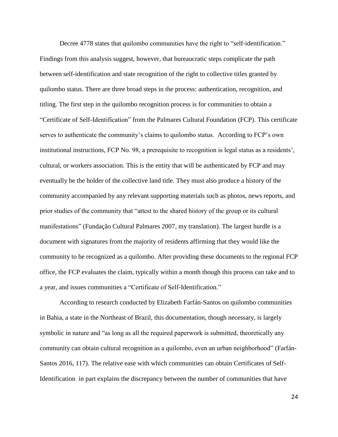Decree 4778 states that quilombo communities have the right to "self-identification." Findings from this analysis suggest, however, that bureaucratic steps complicate the path between self-identification and state recognition of the right to collective titles granted by quilombo status. There are three broad steps in the process: authentication, recognition, and titling. The first step in the quilombo recognition process is for communities to obtain a "Certificate of Self-Identification" from the Palmares Cultural Foundation (FCP). This certificate serves to authenticate the community's claims to quilombo status. According to FCP's own institutional instructions, FCP No. 98, a prerequisite to recognition is legal status as a residents', cultural, or workers association. This is the entity that will be authenticated by FCP and may eventually be the holder of the collective land title. They must also produce a history of the community accompanied by any relevant supporting materials such as photos, news reports, and prior studies of the community that "attest to the shared history of the group or its cultural manifestations" (Fundação Cultural Palmares 2007, my translation). The largest hurdle is a document with signatures from the majority of residents affirming that they would like the community to be recognized as a quilombo. After providing these documents to the regional FCP office, the FCP evaluates the claim, typically within a month though this process can take and to a year, and issues communities a "Certificate of Self-Identification."

According to research conducted by Elizabeth Farfán-Santos on quilombo communities in Bahia, a state in the Northeast of Brazil, this documentation, though necessary, is largely symbolic in nature and "as long as all the required paperwork is submitted, theoretically any community can obtain cultural recognition as a quilombo, even an urban neighborhood" (Farfán-Santos 2016, 117). The relative ease with which communities can obtain Certificates of Self-Identification in part explains the discrepancy between the number of communities that have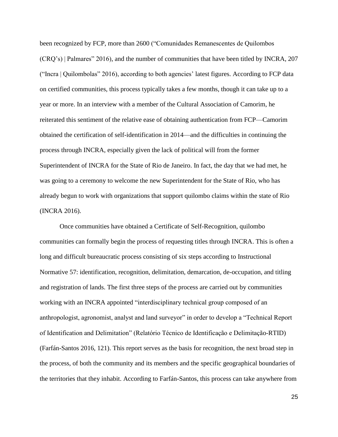been recognized by FCP, more than 2600 ("Comunidades Remanescentes de Quilombos (CRQ's) | Palmares" 2016), and the number of communities that have been titled by INCRA, 207 ("Incra | Quilombolas" 2016), according to both agencies' latest figures. According to FCP data on certified communities, this process typically takes a few months, though it can take up to a year or more. In an interview with a member of the Cultural Association of Camorim, he reiterated this sentiment of the relative ease of obtaining authentication from FCP—Camorim obtained the certification of self-identification in 2014—and the difficulties in continuing the process through INCRA, especially given the lack of political will from the former Superintendent of INCRA for the State of Rio de Janeiro. In fact, the day that we had met, he was going to a ceremony to welcome the new Superintendent for the State of Rio, who has already begun to work with organizations that support quilombo claims within the state of Rio (INCRA 2016).

Once communities have obtained a Certificate of Self-Recognition, quilombo communities can formally begin the process of requesting titles through INCRA. This is often a long and difficult bureaucratic process consisting of six steps according to Instructional Normative 57: identification, recognition, delimitation, demarcation, de-occupation, and titling and registration of lands. The first three steps of the process are carried out by communities working with an INCRA appointed "interdisciplinary technical group composed of an anthropologist, agronomist, analyst and land surveyor" in order to develop a "Technical Report of Identification and Delimitation" (Relatório Técnico de Identificação e Delimitação-RTID) (Farfán-Santos 2016, 121). This report serves as the basis for recognition, the next broad step in the process, of both the community and its members and the specific geographical boundaries of the territories that they inhabit. According to Farfán-Santos, this process can take anywhere from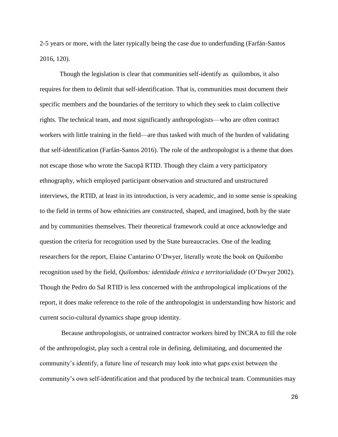2-5 years or more, with the later typically being the case due to underfunding (Farfán-Santos 2016, 120).

Though the legislation is clear that communities self-identify as quilombos, it also requires for them to delimit that self-identification. That is, communities must document their specific members and the boundaries of the territory to which they seek to claim collective rights. The technical team, and most significantly anthropologists—who are often contract workers with little training in the field—are thus tasked with much of the burden of validating that self-identification (Farfán-Santos 2016). The role of the anthropologist is a theme that does not escape those who wrote the Sacopã RTID. Though they claim a very participatory ethnography, which employed participant observation and structured and unstructured interviews, the RTID, at least in its introduction, is very academic, and in some sense is speaking to the field in terms of how ethnicities are constructed, shaped, and imagined, both by the state and by communities themselves. Their theoretical framework could at once acknowledge and question the criteria for recognition used by the State bureaucracies. One of the leading researchers for the report, Elaine Cantarino O'Dwyer, literally wrote the book on Quilombo recognition used by the field, *Quilombos: identidade étinica e territorialidade* (O'Dwyer 2002). Though the Pedro do Sal RTID is less concerned with the anthropological implications of the report, it does make reference to the role of the anthropologist in understanding how historic and current socio-cultural dynamics shape group identity.

Because anthropologists, or untrained contractor workers hired by INCRA to fill the role of the anthropologist, play such a central role in defining, delimitating, and documented the community's identify, a future line of research may look into what gaps exist between the community's own self-identification and that produced by the technical team. Communities may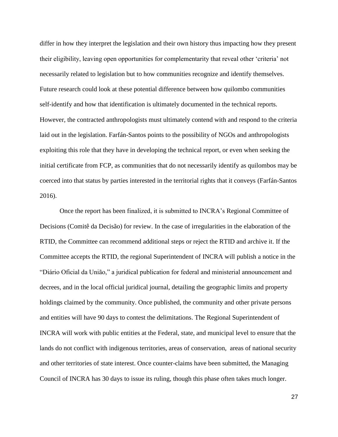differ in how they interpret the legislation and their own history thus impacting how they present their eligibility, leaving open opportunities for complementarity that reveal other 'criteria' not necessarily related to legislation but to how communities recognize and identify themselves. Future research could look at these potential difference between how quilombo communities self-identify and how that identification is ultimately documented in the technical reports. However, the contracted anthropologists must ultimately contend with and respond to the criteria laid out in the legislation. Farfán-Santos points to the possibility of NGOs and anthropologists exploiting this role that they have in developing the technical report, or even when seeking the initial certificate from FCP, as communities that do not necessarily identify as quilombos may be coerced into that status by parties interested in the territorial rights that it conveys (Farfán-Santos 2016).

Once the report has been finalized, it is submitted to INCRA's Regional Committee of Decisions (Comitê da Decisão) for review. In the case of irregularities in the elaboration of the RTID, the Committee can recommend additional steps or reject the RTID and archive it. If the Committee accepts the RTID, the regional Superintendent of INCRA will publish a notice in the "Diário Oficial da União," a juridical publication for federal and ministerial announcement and decrees, and in the local official juridical journal, detailing the geographic limits and property holdings claimed by the community. Once published, the community and other private persons and entities will have 90 days to contest the delimitations. The Regional Superintendent of INCRA will work with public entities at the Federal, state, and municipal level to ensure that the lands do not conflict with indigenous territories, areas of conservation, areas of national security and other territories of state interest. Once counter-claims have been submitted, the Managing Council of INCRA has 30 days to issue its ruling, though this phase often takes much longer.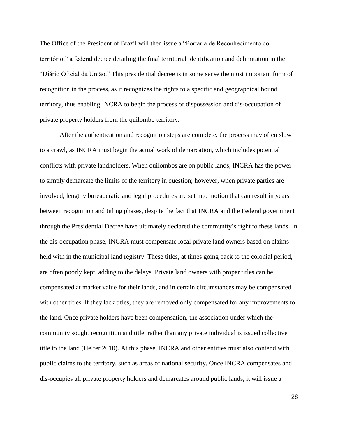The Office of the President of Brazil will then issue a "Portaria de Reconhecimento do território," a federal decree detailing the final territorial identification and delimitation in the "Diário Oficial da União." This presidential decree is in some sense the most important form of recognition in the process, as it recognizes the rights to a specific and geographical bound territory, thus enabling INCRA to begin the process of dispossession and dis-occupation of private property holders from the quilombo territory.

After the authentication and recognition steps are complete, the process may often slow to a crawl, as INCRA must begin the actual work of demarcation, which includes potential conflicts with private landholders. When quilombos are on public lands, INCRA has the power to simply demarcate the limits of the territory in question; however, when private parties are involved, lengthy bureaucratic and legal procedures are set into motion that can result in years between recognition and titling phases, despite the fact that INCRA and the Federal government through the Presidential Decree have ultimately declared the community's right to these lands. In the dis-occupation phase, INCRA must compensate local private land owners based on claims held with in the municipal land registry. These titles, at times going back to the colonial period, are often poorly kept, adding to the delays. Private land owners with proper titles can be compensated at market value for their lands, and in certain circumstances may be compensated with other titles. If they lack titles, they are removed only compensated for any improvements to the land. Once private holders have been compensation, the association under which the community sought recognition and title, rather than any private individual is issued collective title to the land (Helfer 2010). At this phase, INCRA and other entities must also contend with public claims to the territory, such as areas of national security. Once INCRA compensates and dis-occupies all private property holders and demarcates around public lands, it will issue a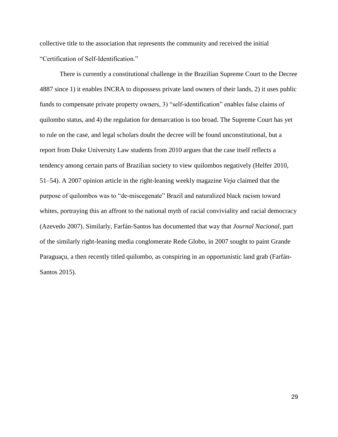collective title to the association that represents the community and received the initial "Certification of Self-Identification."

There is currently a constitutional challenge in the Brazilian Supreme Court to the Decree 4887 since 1) it enables INCRA to dispossess private land owners of their lands, 2) it uses public funds to compensate private property owners, 3) "self-identification" enables false claims of quilombo status, and 4) the regulation for demarcation is too broad. The Supreme Court has yet to rule on the case, and legal scholars doubt the decree will be found unconstitutional, but a report from Duke University Law students from 2010 argues that the case itself reflects a tendency among certain parts of Brazilian society to view quilombos negatively (Helfer 2010, 51–54). A 2007 opinion article in the right-leaning weekly magazine *Veja* claimed that the purpose of quilombos was to "de-miscegenate" Brazil and naturalized black racism toward whites, portraying this an affront to the national myth of racial conviviality and racial democracy (Azevedo 2007). Similarly, Farfán-Santos has documented that way that *Journal Nacional*, part of the similarly right-leaning media conglomerate Rede Globo, in 2007 sought to paint Grande Paraguaçu, a then recently titled quilombo, as conspiring in an opportunistic land grab (Farfán-Santos 2015).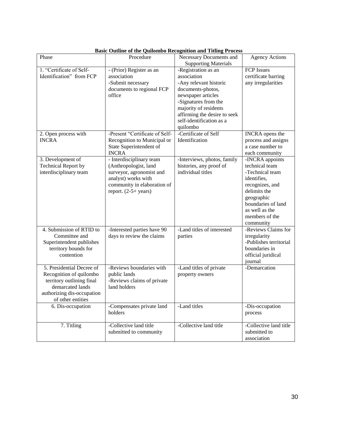|                            | Dasie Outnie of the Quilombo Accognition and Trang I Foccss |                                                        |                        |
|----------------------------|-------------------------------------------------------------|--------------------------------------------------------|------------------------|
| Phase                      | Procedure                                                   | Necessary Documents and<br><b>Supporting Materials</b> | <b>Agency Actions</b>  |
| 1. "Certificate of Self-   | - (Prior) Register as an                                    | -Registration as an                                    | <b>FCP</b> Issues      |
|                            |                                                             |                                                        |                        |
| Identification" from FCP   | association                                                 | association                                            | certificate barring    |
|                            | -Submit necessary                                           | -Any relevant historic                                 | any irregularities     |
|                            | documents to regional FCP                                   | documents-photos,                                      |                        |
|                            | office                                                      | newspaper articles                                     |                        |
|                            |                                                             | -Signatures from the                                   |                        |
|                            |                                                             | majority of residents                                  |                        |
|                            |                                                             |                                                        |                        |
|                            |                                                             | affirming the desire to seek                           |                        |
|                            |                                                             | self-identification as a                               |                        |
|                            |                                                             | quilombo                                               |                        |
| 2. Open process with       | -Present "Certificate of Self-                              | -Certificate of Self                                   | INCRA opens the        |
| <b>INCRA</b>               | Recognition to Municipal or                                 | Identification                                         | process and assigns    |
|                            | State Superintendent of                                     |                                                        | a case number to       |
|                            | <b>INCRA</b>                                                |                                                        | each community         |
| 3. Development of          | - Interdisciplinary team                                    | -Interviews, photos, family                            | -INCRA appoints        |
| <b>Technical Report by</b> | (Anthropologist, land                                       | histories, any proof of                                | technical team         |
| interdisciplinary team     | surveyor, agronomist and                                    | individual titles                                      | -Technical team        |
|                            | analyst) works with                                         |                                                        | identifies,            |
|                            | community in elaboration of                                 |                                                        | recognizes, and        |
|                            |                                                             |                                                        |                        |
|                            | report. $(2-5+)$ years)                                     |                                                        | delimits the           |
|                            |                                                             |                                                        | geographic             |
|                            |                                                             |                                                        | boundaries of land     |
|                            |                                                             |                                                        | as well as the         |
|                            |                                                             |                                                        | members of the         |
|                            |                                                             |                                                        | community              |
| 4. Submission of RTID to   | -Interested parties have 90                                 | -Land titles of interested                             | -Reviews Claims for    |
| Committee and              | days to review the claims                                   | parties                                                | irregularity           |
| Superintendent publishes   |                                                             |                                                        | -Publishes territorial |
| territory bounds for       |                                                             |                                                        | boundaries in          |
|                            |                                                             |                                                        |                        |
| contention                 |                                                             |                                                        | official juridical     |
|                            |                                                             |                                                        | journal                |
| 5. Presidential Decree of  | -Reviews boundaries with                                    | -Land titles of private                                | -Demarcation           |
| Recognition of quilombo    | public lands                                                | property owners                                        |                        |
| territory outlining final  | -Reviews claims of private                                  |                                                        |                        |
| demarcated lands           | land holders                                                |                                                        |                        |
| authorizing dis-occupation |                                                             |                                                        |                        |
| of other entities          |                                                             |                                                        |                        |
| 6. Dis-occupation          | -Compensates private land                                   | -Land titles                                           | -Dis-occupation        |
|                            | holders                                                     |                                                        |                        |
|                            |                                                             |                                                        | process                |
|                            |                                                             |                                                        |                        |
| 7. Titling                 | -Collective land title                                      | -Collective land title                                 | -Collective land title |
|                            | submitted to community                                      |                                                        | submitted to           |
|                            |                                                             |                                                        | association            |

**Basic Outline of the Quilombo Recognition and Titling Process**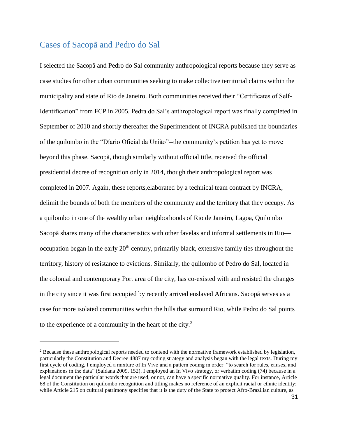## <span id="page-34-0"></span>Cases of Sacopã and Pedro do Sal

 $\overline{a}$ 

I selected the Sacopã and Pedro do Sal community anthropological reports because they serve as case studies for other urban communities seeking to make collective territorial claims within the municipality and state of Rio de Janeiro. Both communities received their "Certificates of Self-Identification" from FCP in 2005. Pedra do Sal's anthropological report was finally completed in September of 2010 and shortly thereafter the Superintendent of INCRA published the boundaries of the quilombo in the "Díario Oficial da União"--the community's petition has yet to move beyond this phase. Sacopã, though similarly without official title, received the official presidential decree of recognition only in 2014, though their anthropological report was completed in 2007. Again, these reports,elaborated by a technical team contract by INCRA, delimit the bounds of both the members of the community and the territory that they occupy. As a quilombo in one of the wealthy urban neighborhoods of Rio de Janeiro, Lagoa, Quilombo Sacopã shares many of the characteristics with other favelas and informal settlements in Rio occupation began in the early  $20<sup>th</sup>$  century, primarily black, extensive family ties throughout the territory, history of resistance to evictions. Similarly, the quilombo of Pedro do Sal, located in the colonial and contemporary Port area of the city, has co-existed with and resisted the changes in the city since it was first occupied by recently arrived enslaved Africans. Sacopã serves as a case for more isolated communities within the hills that surround Rio, while Pedro do Sal points to the experience of a community in the heart of the city. $2$ 

<sup>&</sup>lt;sup>2</sup> Because these anthropological reports needed to contend with the normative framework established by legislation, particularly the Constitution and Decree 4887 my coding strategy and analysis began with the legal texts. During my first cycle of coding, I employed a mixture of In Vivo and a pattern coding in order "to search for rules, causes, and explanations in the data" (Saldana 2009, 152). I employed an In Vivo strategy, or verbatim coding (74) because in a legal document the particular words that are used, or not, can have a specific normative quality. For instance, Article 68 of the Constitution on quilombo recognition and titling makes no reference of an explicit racial or ethnic identity; while Article 215 on cultural patrimony specifies that it is the duty of the State to protect Afro-Brazilian culture, as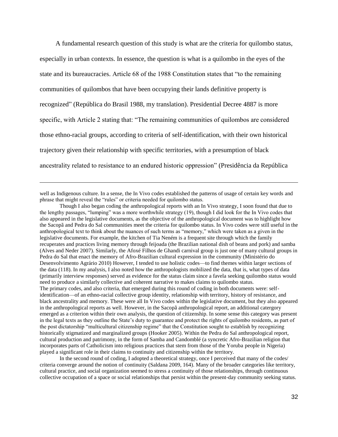A fundamental research question of this study is what are the criteria for quilombo status, especially in urban contexts. In essence, the question is what is a quilombo in the eyes of the state and its bureaucracies. Article 68 of the 1988 Constitution states that "to the remaining communities of quilombos that have been occupying their lands definitive property is recognized" (República do Brasil 1988, my translation). Presidential Decree 4887 is more specific, with Article 2 stating that: "The remaining communities of quilombos are considered those ethno-racial groups, according to criteria of self-identification, with their own historical trajectory given their relationship with specific territories, with a presumption of black ancestrality related to resistance to an endured historic oppression" (Presidência da República

well as Indigenous culture. In a sense, the In Vivo codes established the patterns of usage of certain key words and phrase that might reveal the "rules" or criteria needed for quilombo status.

 $\overline{a}$ 

Though I also began coding the anthropological reports with an In Vivo strategy, I soon found that due to the lengthy passages, "lumping" was a more worthwhile strategy (19), though I did look for the In Vivo codes that also appeared in the legislative documents, as the objective of the anthropological document was to highlight how the Sacopã and Pedra do Sal communities meet the criteria for quilombo status. In Vivo codes were still useful in the anthropological text to think about the nuances of such terms as "memory," which were taken as a given in the legislative documents. For example, the kitchen of Tia Neném is a frequent site through which the family recuperates and practices living memory through feijoada (the Brazilian national dish of beans and pork) and samba (Alves and Neder 2007). Similarly, the Afoxé Filhos de Ghandi carnival group is just one of many cultural groups in Pedra do Sal that enact the memory of Afro-Brazilian cultural expression in the community (Ministério do Desenvolvimento Agrário 2010) However, I tended to use holistic codes—to find themes within larger sections of the data (118). In my analysis, I also noted how the anthropologists mobilized the data, that is, what types of data (primarily interview responses) served as evidence for the status claim since a favela seeking quilombo status would need to produce a similarly collective and coherent narrative to makes claims to quilombo status. The primary codes, and also criteria, that emerged during this round of coding in both documents were: selfidentification—of an ethno-racial collective group identity, relationship with territory, history of resistance, and black ancestrality and memory. These were all In Vivo codes within the legislative document, but they also appeared in the anthropological reports as well. However, in the Sacopã anthropological report, an additional catergory emerged as a criterion within their own analysis, the question of citizenship. In some sense this category was present in the legal texts as they outline the State's duty to guarantee and protect the rights of quilombo residents, as part of the post dictatorship "multicultural citizenship regime" that the Constitution sought to establish by recognizing historically stigmatized and marginalized groups (Hooker 2005). Within the Pedra do Sal anthropological report, cultural production and patrimony, in the form of Samba and Candomblé (a syncretic Afro-Brazilian religion that incorporates parts of Catholicism into religious practices that stem from those of the Yoruba people in Nigeria) played a significant role in their claims to continuity and citizenship within the territory.

In the second round of coding, I adopted a theoretical strategy, once I perceived that many of the codes/ criteria converge around the notion of continuity (Saldana 2009, 164). Many of the broader categories like territory, cultural practice, and social organization seemed to stress a continuity of those relationships, through continuous collective occupation of a space or social relationships that persist within the present-day community seeking status.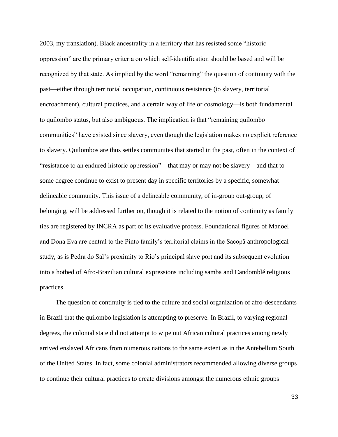2003, my translation). Black ancestrality in a territory that has resisted some "historic oppression" are the primary criteria on which self-identification should be based and will be recognized by that state. As implied by the word "remaining" the question of continuity with the past—either through territorial occupation, continuous resistance (to slavery, territorial encroachment), cultural practices, and a certain way of life or cosmology—is both fundamental to quilombo status, but also ambiguous. The implication is that "remaining quilombo communities" have existed since slavery, even though the legislation makes no explicit reference to slavery. Quilombos are thus settles communites that started in the past, often in the context of "resistance to an endured historic oppression"—that may or may not be slavery—and that to some degree continue to exist to present day in specific territories by a specific, somewhat delineable community. This issue of a delineable community, of in-group out-group, of belonging, will be addressed further on, though it is related to the notion of continuity as family ties are registered by INCRA as part of its evaluative process. Foundational figures of Manoel and Dona Eva are central to the Pinto family's territorial claims in the Sacopã anthropological study, as is Pedra do Sal's proximity to Rio's principal slave port and its subsequent evolution into a hotbed of Afro-Brazilian cultural expressions including samba and Candomblé religious practices.

The question of continuity is tied to the culture and social organization of afro-descendants in Brazil that the quilombo legislation is attempting to preserve. In Brazil, to varying regional degrees, the colonial state did not attempt to wipe out African cultural practices among newly arrived enslaved Africans from numerous nations to the same extent as in the Antebellum South of the United States. In fact, some colonial administrators recommended allowing diverse groups to continue their cultural practices to create divisions amongst the numerous ethnic groups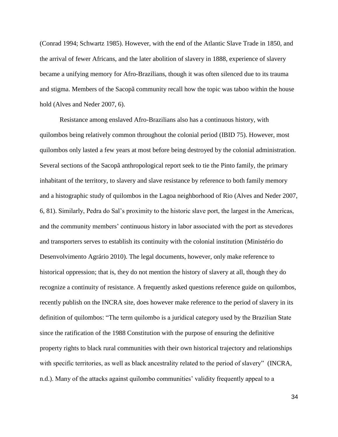(Conrad 1994; Schwartz 1985). However, with the end of the Atlantic Slave Trade in 1850, and the arrival of fewer Africans, and the later abolition of slavery in 1888, experience of slavery became a unifying memory for Afro-Brazilians, though it was often silenced due to its trauma and stigma. Members of the Sacopã community recall how the topic was taboo within the house hold (Alves and Neder 2007, 6).

Resistance among enslaved Afro-Brazilians also has a continuous history, with quilombos being relatively common throughout the colonial period (IBID 75). However, most quilombos only lasted a few years at most before being destroyed by the colonial administration. Several sections of the Sacopã anthropological report seek to tie the Pinto family, the primary inhabitant of the territory, to slavery and slave resistance by reference to both family memory and a histographic study of quilombos in the Lagoa neighborhood of Rio (Alves and Neder 2007, 6, 81). Similarly, Pedra do Sal's proximity to the historic slave port, the largest in the Americas, and the community members' continuous history in labor associated with the port as stevedores and transporters serves to establish its continuity with the colonial institution (Ministério do Desenvolvimento Agrário 2010). The legal documents, however, only make reference to historical oppression; that is, they do not mention the history of slavery at all, though they do recognize a continuity of resistance. A frequently asked questions reference guide on quilombos, recently publish on the INCRA site, does however make reference to the period of slavery in its definition of quilombos: "The term quilombo is a juridical category used by the Brazilian State since the ratification of the 1988 Constitution with the purpose of ensuring the definitive property rights to black rural communities with their own historical trajectory and relationships with specific territories, as well as black ancestrality related to the period of slavery" (INCRA, n.d.). Many of the attacks against quilombo communities' validity frequently appeal to a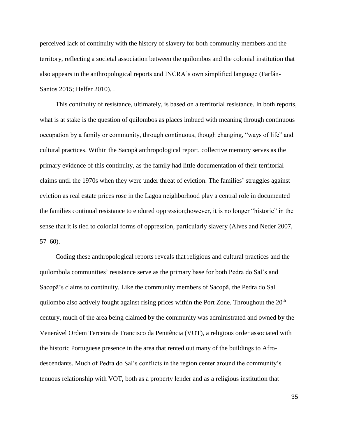perceived lack of continuity with the history of slavery for both community members and the territory, reflecting a societal association between the quilombos and the colonial institution that also appears in the anthropological reports and INCRA's own simplified language (Farfán-Santos 2015; Helfer 2010). .

This continuity of resistance, ultimately, is based on a territorial resistance. In both reports, what is at stake is the question of quilombos as places imbued with meaning through continuous occupation by a family or community, through continuous, though changing, "ways of life" and cultural practices. Within the Sacopã anthropological report, collective memory serves as the primary evidence of this continuity, as the family had little documentation of their territorial claims until the 1970s when they were under threat of eviction. The families' struggles against eviction as real estate prices rose in the Lagoa neighborhood play a central role in documented the families continual resistance to endured oppression;however, it is no longer "historic" in the sense that it is tied to colonial forms of oppression, particularly slavery (Alves and Neder 2007,  $57-60$ ).

Coding these anthropological reports reveals that religious and cultural practices and the quilombola communities' resistance serve as the primary base for both Pedra do Sal's and Sacopã's claims to continuity. Like the community members of Sacopã, the Pedra do Sal quilombo also actively fought against rising prices within the Port Zone. Throughout the  $20<sup>th</sup>$ century, much of the area being claimed by the community was administrated and owned by the Venerável Ordem Terceira de Francisco da Penitência (VOT), a religious order associated with the historic Portuguese presence in the area that rented out many of the buildings to Afrodescendants. Much of Pedra do Sal's conflicts in the region center around the community's tenuous relationship with VOT, both as a property lender and as a religious institution that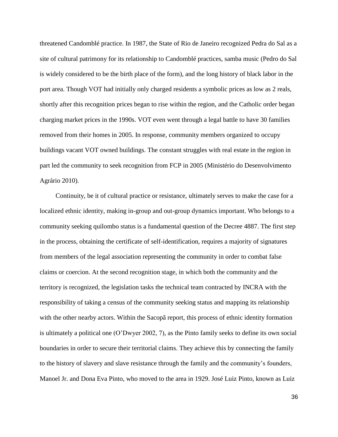threatened Candomblé practice. In 1987, the State of Rio de Janeiro recognized Pedra do Sal as a site of cultural patrimony for its relationship to Candomblé practices, samba music (Pedro do Sal is widely considered to be the birth place of the form), and the long history of black labor in the port area. Though VOT had initially only charged residents a symbolic prices as low as 2 reals, shortly after this recognition prices began to rise within the region, and the Catholic order began charging market prices in the 1990s. VOT even went through a legal battle to have 30 families removed from their homes in 2005. In response, community members organized to occupy buildings vacant VOT owned buildings. The constant struggles with real estate in the region in part led the community to seek recognition from FCP in 2005 (Ministério do Desenvolvimento Agrário 2010).

Continuity, be it of cultural practice or resistance, ultimately serves to make the case for a localized ethnic identity, making in-group and out-group dynamics important. Who belongs to a community seeking quilombo status is a fundamental question of the Decree 4887. The first step in the process, obtaining the certificate of self-identification, requires a majority of signatures from members of the legal association representing the community in order to combat false claims or coercion. At the second recognition stage, in which both the community and the territory is recognized, the legislation tasks the technical team contracted by INCRA with the responsibility of taking a census of the community seeking status and mapping its relationship with the other nearby actors. Within the Sacopã report, this process of ethnic identity formation is ultimately a political one (O'Dwyer 2002, 7), as the Pinto family seeks to define its own social boundaries in order to secure their territorial claims. They achieve this by connecting the family to the history of slavery and slave resistance through the family and the community's founders, Manoel Jr. and Dona Eva Pinto, who moved to the area in 1929. José Luiz Pinto, known as Luiz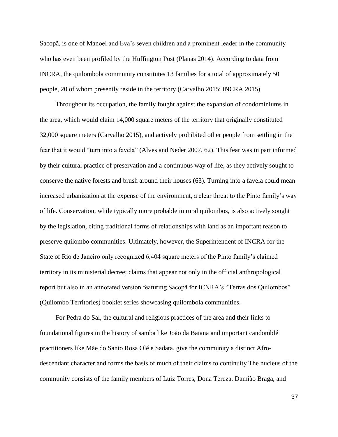Sacopã, is one of Manoel and Eva's seven children and a prominent leader in the community who has even been profiled by the Huffington Post (Planas 2014). According to data from INCRA, the quilombola community constitutes 13 families for a total of approximately 50 people, 20 of whom presently reside in the territory (Carvalho 2015; INCRA 2015)

Throughout its occupation, the family fought against the expansion of condominiums in the area, which would claim 14,000 square meters of the territory that originally constituted 32,000 square meters (Carvalho 2015), and actively prohibited other people from settling in the fear that it would "turn into a favela" (Alves and Neder 2007, 62). This fear was in part informed by their cultural practice of preservation and a continuous way of life, as they actively sought to conserve the native forests and brush around their houses (63). Turning into a favela could mean increased urbanization at the expense of the environment, a clear threat to the Pinto family's way of life. Conservation, while typically more probable in rural quilombos, is also actively sought by the legislation, citing traditional forms of relationships with land as an important reason to preserve quilombo communities. Ultimately, however, the Superintendent of INCRA for the State of Rio de Janeiro only recognized 6,404 square meters of the Pinto family's claimed territory in its ministerial decree; claims that appear not only in the official anthropological report but also in an annotated version featuring Sacopã for ICNRA's "Terras dos Quilombos" (Quilombo Territories) booklet series showcasing quilombola communities.

For Pedra do Sal, the cultural and religious practices of the area and their links to foundational figures in the history of samba like João da Baiana and important candomblé practitioners like Mãe do Santo Rosa Olé e Sadata, give the community a distinct Afrodescendant character and forms the basis of much of their claims to continuity The nucleus of the community consists of the family members of Luiz Torres, Dona Tereza, Damião Braga, and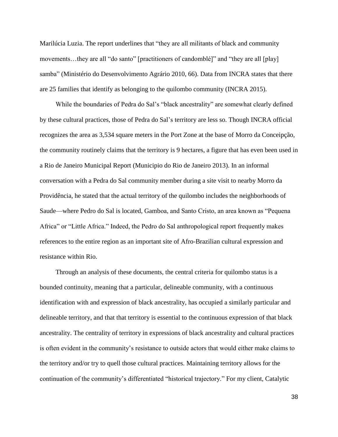Marilúcia Luzia. The report underlines that "they are all militants of black and community movements...they are all "do santo" [practitioners of candomblé]" and "they are all [play] samba" (Ministério do Desenvolvimento Agrário 2010, 66). Data from INCRA states that there are 25 families that identify as belonging to the quilombo community (INCRA 2015).

While the boundaries of Pedra do Sal's "black ancestrality" are somewhat clearly defined by these cultural practices, those of Pedra do Sal's territory are less so. Though INCRA official recognizes the area as 3,534 square meters in the Port Zone at the base of Morro da Conceipção, the community routinely claims that the territory is 9 hectares, a figure that has even been used in a Rio de Janeiro Municipal Report (Municipio do Rio de Janeiro 2013). In an informal conversation with a Pedra do Sal community member during a site visit to nearby Morro da Providência, he stated that the actual territory of the quilombo includes the neighborhoods of Saude—where Pedro do Sal is located, Gamboa, and Santo Cristo, an area known as "Pequena Africa" or "Little Africa." Indeed, the Pedro do Sal anthropological report frequently makes references to the entire region as an important site of Afro-Brazilian cultural expression and resistance within Rio.

Through an analysis of these documents, the central criteria for quilombo status is a bounded continuity, meaning that a particular, delineable community, with a continuous identification with and expression of black ancestrality, has occupied a similarly particular and delineable territory, and that that territory is essential to the continuous expression of that black ancestrality. The centrality of territory in expressions of black ancestrality and cultural practices is often evident in the community's resistance to outside actors that would either make claims to the territory and/or try to quell those cultural practices. Maintaining territory allows for the continuation of the community's differentiated "historical trajectory." For my client, Catalytic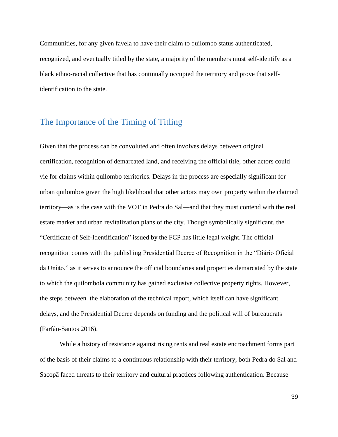Communities, for any given favela to have their claim to quilombo status authenticated, recognized, and eventually titled by the state, a majority of the members must self-identify as a black ethno-racial collective that has continually occupied the territory and prove that selfidentification to the state.

### The Importance of the Timing of Titling

Given that the process can be convoluted and often involves delays between original certification, recognition of demarcated land, and receiving the official title, other actors could vie for claims within quilombo territories. Delays in the process are especially significant for urban quilombos given the high likelihood that other actors may own property within the claimed territory—as is the case with the VOT in Pedra do Sal—and that they must contend with the real estate market and urban revitalization plans of the city. Though symbolically significant, the "Certificate of Self-Identification" issued by the FCP has little legal weight. The official recognition comes with the publishing Presidential Decree of Recognition in the "Diário Oficial da União," as it serves to announce the official boundaries and properties demarcated by the state to which the quilombola community has gained exclusive collective property rights. However, the steps between the elaboration of the technical report, which itself can have significant delays, and the Presidential Decree depends on funding and the political will of bureaucrats (Farfán-Santos 2016).

While a history of resistance against rising rents and real estate encroachment forms part of the basis of their claims to a continuous relationship with their territory, both Pedra do Sal and Sacopã faced threats to their territory and cultural practices following authentication. Because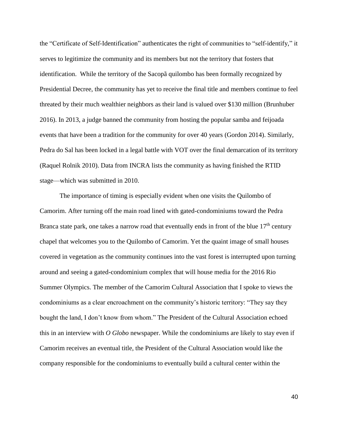the "Certificate of Self-Identification" authenticates the right of communities to "self-identify," it serves to legitimize the community and its members but not the territory that fosters that identification. While the territory of the Sacopã quilombo has been formally recognized by Presidential Decree, the community has yet to receive the final title and members continue to feel threated by their much wealthier neighbors as their land is valued over \$130 million (Brunhuber 2016). In 2013, a judge banned the community from hosting the popular samba and feijoada events that have been a tradition for the community for over 40 years (Gordon 2014). Similarly, Pedra do Sal has been locked in a legal battle with VOT over the final demarcation of its territory (Raquel Rolnik 2010). Data from INCRA lists the community as having finished the RTID stage—which was submitted in 2010.

The importance of timing is especially evident when one visits the Quilombo of Camorim. After turning off the main road lined with gated-condominiums toward the Pedra Branca state park, one takes a narrow road that eventually ends in front of the blue  $17<sup>th</sup>$  century chapel that welcomes you to the Quilombo of Camorim. Yet the quaint image of small houses covered in vegetation as the community continues into the vast forest is interrupted upon turning around and seeing a gated-condominium complex that will house media for the 2016 Rio Summer Olympics. The member of the Camorim Cultural Association that I spoke to views the condominiums as a clear encroachment on the community's historic territory: "They say they bought the land, I don't know from whom." The President of the Cultural Association echoed this in an interview with *O Globo* newspaper. While the condominiums are likely to stay even if Camorim receives an eventual title, the President of the Cultural Association would like the company responsible for the condominiums to eventually build a cultural center within the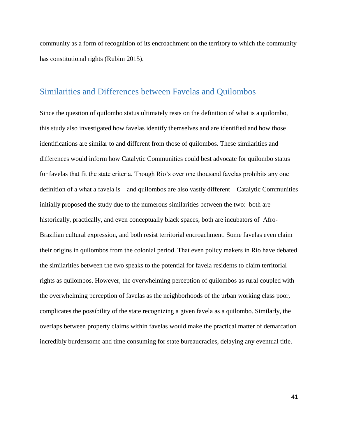community as a form of recognition of its encroachment on the territory to which the community has constitutional rights (Rubim 2015).

### Similarities and Differences between Favelas and Quilombos

Since the question of quilombo status ultimately rests on the definition of what is a quilombo, this study also investigated how favelas identify themselves and are identified and how those identifications are similar to and different from those of quilombos. These similarities and differences would inform how Catalytic Communities could best advocate for quilombo status for favelas that fit the state criteria. Though Rio's over one thousand favelas prohibits any one definition of a what a favela is—and quilombos are also vastly different—Catalytic Communities initially proposed the study due to the numerous similarities between the two: both are historically, practically, and even conceptually black spaces; both are incubators of Afro-Brazilian cultural expression, and both resist territorial encroachment. Some favelas even claim their origins in quilombos from the colonial period. That even policy makers in Rio have debated the similarities between the two speaks to the potential for favela residents to claim territorial rights as quilombos. However, the overwhelming perception of quilombos as rural coupled with the overwhelming perception of favelas as the neighborhoods of the urban working class poor, complicates the possibility of the state recognizing a given favela as a quilombo. Similarly, the overlaps between property claims within favelas would make the practical matter of demarcation incredibly burdensome and time consuming for state bureaucracies, delaying any eventual title.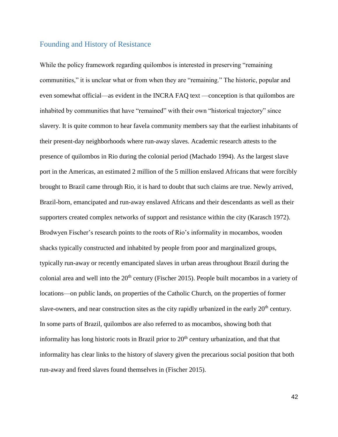#### Founding and History of Resistance

While the policy framework regarding quilombos is interested in preserving "remaining communities," it is unclear what or from when they are "remaining." The historic, popular and even somewhat official—as evident in the INCRA FAQ text —conception is that quilombos are inhabited by communities that have "remained" with their own "historical trajectory" since slavery. It is quite common to hear favela community members say that the earliest inhabitants of their present-day neighborhoods where run-away slaves. Academic research attests to the presence of quilombos in Rio during the colonial period (Machado 1994). As the largest slave port in the Americas, an estimated 2 million of the 5 million enslaved Africans that were forcibly brought to Brazil came through Rio, it is hard to doubt that such claims are true. Newly arrived, Brazil-born, emancipated and run-away enslaved Africans and their descendants as well as their supporters created complex networks of support and resistance within the city (Karasch 1972). Brodwyen Fischer's research points to the roots of Rio's informality in mocambos, wooden shacks typically constructed and inhabited by people from poor and marginalized groups, typically run-away or recently emancipated slaves in urban areas throughout Brazil during the colonial area and well into the 20<sup>th</sup> century (Fischer 2015). People built mocambos in a variety of locations—on public lands, on properties of the Catholic Church, on the properties of former slave-owners, and near construction sites as the city rapidly urbanized in the early  $20<sup>th</sup>$  century. In some parts of Brazil, quilombos are also referred to as mocambos, showing both that informality has long historic roots in Brazil prior to  $20<sup>th</sup>$  century urbanization, and that that informality has clear links to the history of slavery given the precarious social position that both run-away and freed slaves found themselves in (Fischer 2015).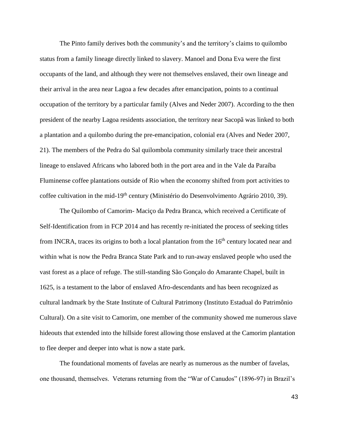The Pinto family derives both the community's and the territory's claims to quilombo status from a family lineage directly linked to slavery. Manoel and Dona Eva were the first occupants of the land, and although they were not themselves enslaved, their own lineage and their arrival in the area near Lagoa a few decades after emancipation, points to a continual occupation of the territory by a particular family (Alves and Neder 2007). According to the then president of the nearby Lagoa residents association, the territory near Sacopã was linked to both a plantation and a quilombo during the pre-emancipation, colonial era (Alves and Neder 2007, 21). The members of the Pedra do Sal quilombola community similarly trace their ancestral lineage to enslaved Africans who labored both in the port area and in the Vale da Paraíba Fluminense coffee plantations outside of Rio when the economy shifted from port activities to coffee cultivation in the mid-19<sup>th</sup> century (Ministério do Desenvolvimento Agrário 2010, 39).

The Quilombo of Camorim- Maciço da Pedra Branca, which received a Certificate of Self-Identification from in FCP 2014 and has recently re-initiated the process of seeking titles from INCRA, traces its origins to both a local plantation from the  $16<sup>th</sup>$  century located near and within what is now the Pedra Branca State Park and to run-away enslaved people who used the vast forest as a place of refuge. The still-standing São Gonçalo do Amarante Chapel, built in 1625, is a testament to the labor of enslaved Afro-descendants and has been recognized as cultural landmark by the State Institute of Cultural Patrimony (Instituto Estadual do Patrimônio Cultural). On a site visit to Camorim, one member of the community showed me numerous slave hideouts that extended into the hillside forest allowing those enslaved at the Camorim plantation to flee deeper and deeper into what is now a state park.

The foundational moments of favelas are nearly as numerous as the number of favelas, one thousand, themselves. Veterans returning from the "War of Canudos" (1896-97) in Brazil's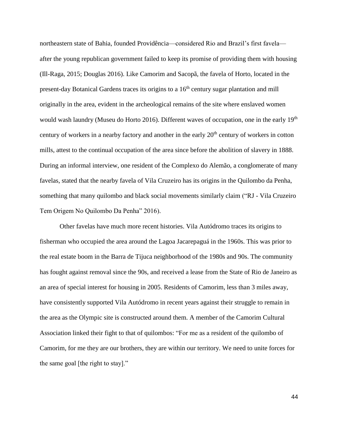northeastern state of Bahia, founded Providência—considered Rio and Brazil's first favela after the young republican government failed to keep its promise of providing them with housing (Ill-Raga, 2015; Douglas 2016). Like Camorim and Sacopã, the favela of Horto, located in the present-day Botanical Gardens traces its origins to a  $16<sup>th</sup>$  century sugar plantation and mill originally in the area, evident in the archeological remains of the site where enslaved women would wash laundry (Museu do Horto 2016). Different waves of occupation, one in the early 19<sup>th</sup> century of workers in a nearby factory and another in the early  $20<sup>th</sup>$  century of workers in cotton mills, attest to the continual occupation of the area since before the abolition of slavery in 1888. During an informal interview, one resident of the Complexo do Alemão, a conglomerate of many favelas, stated that the nearby favela of Vila Cruzeiro has its origins in the Quilombo da Penha, something that many quilombo and black social movements similarly claim ("RJ - Vila Cruzeiro Tem Origem No Quilombo Da Penha" 2016).

Other favelas have much more recent histories. Vila Autódromo traces its origins to fisherman who occupied the area around the Lagoa Jacarepaguá in the 1960s. This was prior to the real estate boom in the Barra de Tijuca neighborhood of the 1980s and 90s. The community has fought against removal since the 90s, and received a lease from the State of Rio de Janeiro as an area of special interest for housing in 2005. Residents of Camorim, less than 3 miles away, have consistently supported Vila Autódromo in recent years against their struggle to remain in the area as the Olympic site is constructed around them. A member of the Camorim Cultural Association linked their fight to that of quilombos: "For me as a resident of the quilombo of Camorim, for me they are our brothers, they are within our territory. We need to unite forces for the same goal [the right to stay]."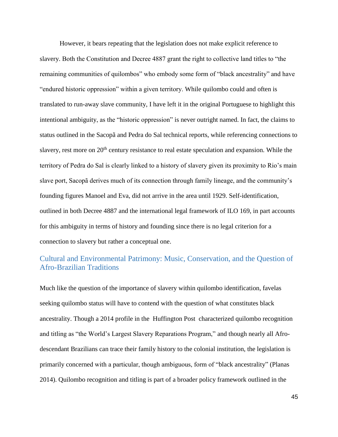However, it bears repeating that the legislation does not make explicit reference to slavery. Both the Constitution and Decree 4887 grant the right to collective land titles to "the remaining communities of quilombos" who embody some form of "black ancestrality" and have "endured historic oppression" within a given territory. While quilombo could and often is translated to run-away slave community, I have left it in the original Portuguese to highlight this intentional ambiguity, as the "historic oppression" is never outright named. In fact, the claims to status outlined in the Sacopã and Pedra do Sal technical reports, while referencing connections to slavery, rest more on  $20<sup>th</sup>$  century resistance to real estate speculation and expansion. While the territory of Pedra do Sal is clearly linked to a history of slavery given its proximity to Rio's main slave port, Sacopã derives much of its connection through family lineage, and the community's founding figures Manoel and Eva, did not arrive in the area until 1929. Self-identification, outlined in both Decree 4887 and the international legal framework of ILO 169, in part accounts for this ambiguity in terms of history and founding since there is no legal criterion for a connection to slavery but rather a conceptual one.

### Cultural and Environmental Patrimony: Music, Conservation, and the Question of Afro-Brazilian Traditions

Much like the question of the importance of slavery within quilombo identification, favelas seeking quilombo status will have to contend with the question of what constitutes black ancestrality. Though a 2014 profile in the Huffington Post characterized quilombo recognition and titling as "the World's Largest Slavery Reparations Program," and though nearly all Afrodescendant Brazilians can trace their family history to the colonial institution, the legislation is primarily concerned with a particular, though ambiguous, form of "black ancestrality" (Planas 2014). Quilombo recognition and titling is part of a broader policy framework outlined in the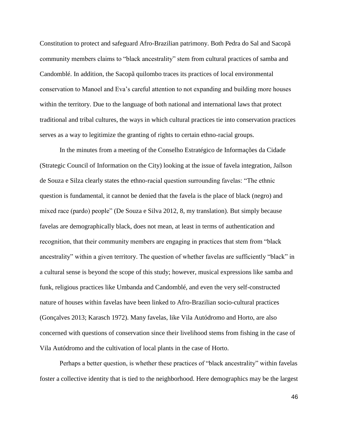Constitution to protect and safeguard Afro-Brazilian patrimony. Both Pedra do Sal and Sacopã community members claims to "black ancestrality" stem from cultural practices of samba and Candomblé. In addition, the Sacopã quilombo traces its practices of local environmental conservation to Manoel and Eva's careful attention to not expanding and building more houses within the territory. Due to the language of both national and international laws that protect traditional and tribal cultures, the ways in which cultural practices tie into conservation practices serves as a way to legitimize the granting of rights to certain ethno-racial groups.

In the minutes from a meeting of the Conselho Estratégico de Informações da Cidade (Strategic Council of Information on the City) looking at the issue of favela integration, Jaílson de Souza e Silza clearly states the ethno-racial question surrounding favelas: "The ethnic question is fundamental, it cannot be denied that the favela is the place of black (negro) and mixed race (pardo) people" (De Souza e Silva 2012, 8, my translation). But simply because favelas are demographically black, does not mean, at least in terms of authentication and recognition, that their community members are engaging in practices that stem from "black ancestrality" within a given territory. The question of whether favelas are sufficiently "black" in a cultural sense is beyond the scope of this study; however, musical expressions like samba and funk, religious practices like Umbanda and Candomblé, and even the very self-constructed nature of houses within favelas have been linked to Afro-Brazilian socio-cultural practices (Gonçalves 2013; Karasch 1972). Many favelas, like Vila Autódromo and Horto, are also concerned with questions of conservation since their livelihood stems from fishing in the case of Vila Autódromo and the cultivation of local plants in the case of Horto.

Perhaps a better question, is whether these practices of "black ancestrality" within favelas foster a collective identity that is tied to the neighborhood. Here demographics may be the largest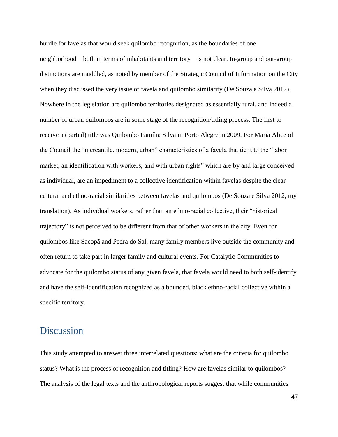hurdle for favelas that would seek quilombo recognition, as the boundaries of one neighborhood—both in terms of inhabitants and territory—is not clear. In-group and out-group distinctions are muddled, as noted by member of the Strategic Council of Information on the City when they discussed the very issue of favela and quilombo similarity (De Souza e Silva 2012). Nowhere in the legislation are quilombo territories designated as essentially rural, and indeed a number of urban quilombos are in some stage of the recognition/titling process. The first to receive a (partial) title was Quilombo Família Silva in Porto Alegre in 2009. For Maria Alice of the Council the "mercantile, modern, urban" characteristics of a favela that tie it to the "labor market, an identification with workers, and with urban rights" which are by and large conceived as individual, are an impediment to a collective identification within favelas despite the clear cultural and ethno-racial similarities between favelas and quilombos (De Souza e Silva 2012, my translation). As individual workers, rather than an ethno-racial collective, their "historical trajectory" is not perceived to be different from that of other workers in the city. Even for quilombos like Sacopã and Pedra do Sal, many family members live outside the community and often return to take part in larger family and cultural events. For Catalytic Communities to advocate for the quilombo status of any given favela, that favela would need to both self-identify and have the self-identification recognized as a bounded, black ethno-racial collective within a specific territory.

## **Discussion**

This study attempted to answer three interrelated questions: what are the criteria for quilombo status? What is the process of recognition and titling? How are favelas similar to quilombos? The analysis of the legal texts and the anthropological reports suggest that while communities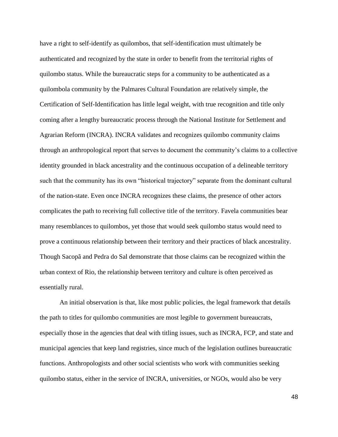have a right to self-identify as quilombos, that self-identification must ultimately be authenticated and recognized by the state in order to benefit from the territorial rights of quilombo status. While the bureaucratic steps for a community to be authenticated as a quilombola community by the Palmares Cultural Foundation are relatively simple, the Certification of Self-Identification has little legal weight, with true recognition and title only coming after a lengthy bureaucratic process through the National Institute for Settlement and Agrarian Reform (INCRA). INCRA validates and recognizes quilombo community claims through an anthropological report that serves to document the community's claims to a collective identity grounded in black ancestrality and the continuous occupation of a delineable territory such that the community has its own "historical trajectory" separate from the dominant cultural of the nation-state. Even once INCRA recognizes these claims, the presence of other actors complicates the path to receiving full collective title of the territory. Favela communities bear many resemblances to quilombos, yet those that would seek quilombo status would need to prove a continuous relationship between their territory and their practices of black ancestrality. Though Sacopã and Pedra do Sal demonstrate that those claims can be recognized within the urban context of Rio, the relationship between territory and culture is often perceived as essentially rural.

An initial observation is that, like most public policies, the legal framework that details the path to titles for quilombo communities are most legible to government bureaucrats, especially those in the agencies that deal with titling issues, such as INCRA, FCP, and state and municipal agencies that keep land registries, since much of the legislation outlines bureaucratic functions. Anthropologists and other social scientists who work with communities seeking quilombo status, either in the service of INCRA, universities, or NGOs, would also be very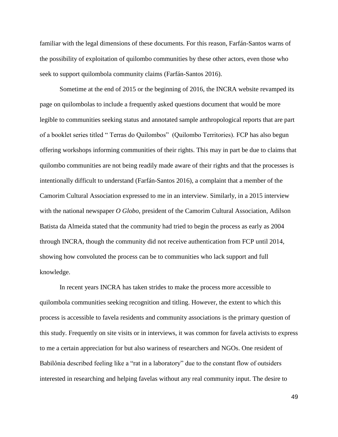familiar with the legal dimensions of these documents. For this reason, Farfán-Santos warns of the possibility of exploitation of quilombo communities by these other actors, even those who seek to support quilombola community claims (Farfán-Santos 2016).

Sometime at the end of 2015 or the beginning of 2016, the INCRA website revamped its page on quilombolas to include a frequently asked questions document that would be more legible to communities seeking status and annotated sample anthropological reports that are part of a booklet series titled " Terras do Quilombos" (Quilombo Territories). FCP has also begun offering workshops informing communities of their rights. This may in part be due to claims that quilombo communities are not being readily made aware of their rights and that the processes is intentionally difficult to understand (Farfán-Santos 2016), a complaint that a member of the Camorim Cultural Association expressed to me in an interview. Similarly, in a 2015 interview with the national newspaper *O Globo*, president of the Camorim Cultural Association, Adilson Batista da Almeida stated that the community had tried to begin the process as early as 2004 through INCRA, though the community did not receive authentication from FCP until 2014, showing how convoluted the process can be to communities who lack support and full knowledge.

In recent years INCRA has taken strides to make the process more accessible to quilombola communities seeking recognition and titling. However, the extent to which this process is accessible to favela residents and community associations is the primary question of this study. Frequently on site visits or in interviews, it was common for favela activists to express to me a certain appreciation for but also wariness of researchers and NGOs. One resident of Babilônia described feeling like a "rat in a laboratory" due to the constant flow of outsiders interested in researching and helping favelas without any real community input. The desire to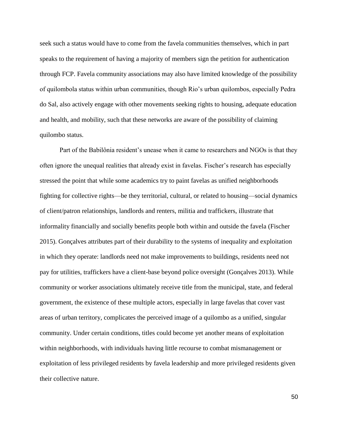seek such a status would have to come from the favela communities themselves, which in part speaks to the requirement of having a majority of members sign the petition for authentication through FCP. Favela community associations may also have limited knowledge of the possibility of quilombola status within urban communities, though Rio's urban quilombos, especially Pedra do Sal, also actively engage with other movements seeking rights to housing, adequate education and health, and mobility, such that these networks are aware of the possibility of claiming quilombo status.

Part of the Babilônia resident's unease when it came to researchers and NGOs is that they often ignore the unequal realities that already exist in favelas. Fischer's research has especially stressed the point that while some academics try to paint favelas as unified neighborhoods fighting for collective rights—be they territorial, cultural, or related to housing—social dynamics of client/patron relationships, landlords and renters, militia and traffickers, illustrate that informality financially and socially benefits people both within and outside the favela (Fischer 2015). Gonçalves attributes part of their durability to the systems of inequality and exploitation in which they operate: landlords need not make improvements to buildings, residents need not pay for utilities, traffickers have a client-base beyond police oversight (Gonçalves 2013). While community or worker associations ultimately receive title from the municipal, state, and federal government, the existence of these multiple actors, especially in large favelas that cover vast areas of urban territory, complicates the perceived image of a quilombo as a unified, singular community. Under certain conditions, titles could become yet another means of exploitation within neighborhoods, with individuals having little recourse to combat mismanagement or exploitation of less privileged residents by favela leadership and more privileged residents given their collective nature.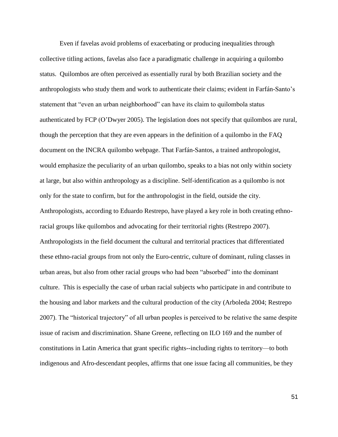Even if favelas avoid problems of exacerbating or producing inequalities through collective titling actions, favelas also face a paradigmatic challenge in acquiring a quilombo status. Quilombos are often perceived as essentially rural by both Brazilian society and the anthropologists who study them and work to authenticate their claims; evident in Farfán-Santo's statement that "even an urban neighborhood" can have its claim to quilombola status authenticated by FCP (O'Dwyer 2005). The legislation does not specify that quilombos are rural, though the perception that they are even appears in the definition of a quilombo in the FAQ document on the INCRA quilombo webpage. That Farfán-Santos, a trained anthropologist, would emphasize the peculiarity of an urban quilombo, speaks to a bias not only within society at large, but also within anthropology as a discipline. Self-identification as a quilombo is not only for the state to confirm, but for the anthropologist in the field, outside the city. Anthropologists, according to Eduardo Restrepo, have played a key role in both creating ethnoracial groups like quilombos and advocating for their territorial rights (Restrepo 2007). Anthropologists in the field document the cultural and territorial practices that differentiated these ethno-racial groups from not only the Euro-centric, culture of dominant, ruling classes in urban areas, but also from other racial groups who had been "absorbed" into the dominant culture. This is especially the case of urban racial subjects who participate in and contribute to the housing and labor markets and the cultural production of the city (Arboleda 2004; Restrepo 2007). The "historical trajectory" of all urban peoples is perceived to be relative the same despite issue of racism and discrimination. Shane Greene, reflecting on ILO 169 and the number of constitutions in Latin America that grant specific rights--including rights to territory—to both indigenous and Afro-descendant peoples, affirms that one issue facing all communities, be they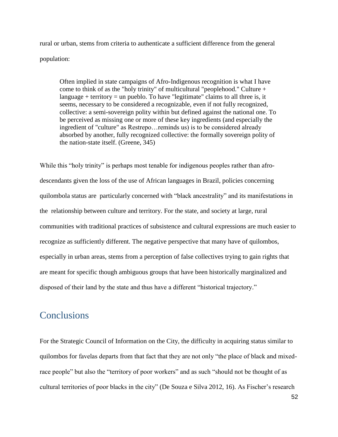rural or urban, stems from criteria to authenticate a sufficient difference from the general population:

Often implied in state campaigns of Afro-Indigenous recognition is what I have come to think of as the "holy trinity" of multicultural "peoplehood." Culture + language + territory = un pueblo. To have "legitimate" claims to all three is, it seems, necessary to be considered a recognizable, even if not fully recognized, collective: a semi-sovereign polity within but defined against the national one. To be perceived as missing one or more of these key ingredients (and especially the ingredient of "culture" as Restrepo…reminds us) is to be considered already absorbed by another, fully recognized collective: the formally sovereign polity of the nation-state itself. (Greene, 345)

While this "holy trinity" is perhaps most tenable for indigenous peoples rather than afrodescendants given the loss of the use of African languages in Brazil, policies concerning quilombola status are particularly concerned with "black ancestrality" and its manifestations in the relationship between culture and territory. For the state, and society at large, rural communities with traditional practices of subsistence and cultural expressions are much easier to recognize as sufficiently different. The negative perspective that many have of quilombos, especially in urban areas, stems from a perception of false collectives trying to gain rights that are meant for specific though ambiguous groups that have been historically marginalized and disposed of their land by the state and thus have a different "historical trajectory."

## **Conclusions**

For the Strategic Council of Information on the City, the difficulty in acquiring status similar to quilombos for favelas departs from that fact that they are not only "the place of black and mixedrace people" but also the "territory of poor workers" and as such "should not be thought of as cultural territories of poor blacks in the city" (De Souza e Silva 2012, 16). As Fischer's research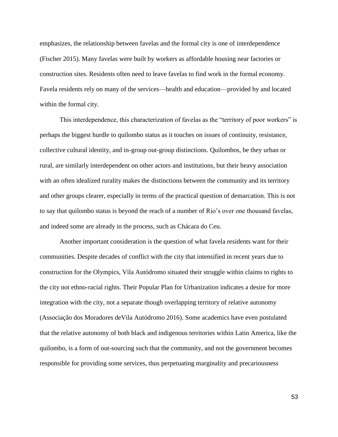emphasizes, the relationship between favelas and the formal city is one of interdependence (Fischer 2015). Many favelas were built by workers as affordable housing near factories or construction sites. Residents often need to leave favelas to find work in the formal economy. Favela residents rely on many of the services—health and education—provided by and located within the formal city.

This interdependence, this characterization of favelas as the "territory of poor workers" is perhaps the biggest hurdle to quilombo status as it touches on issues of continuity, resistance, collective cultural identity, and in-group out-group distinctions. Quilombos, be they urban or rural, are similarly interdependent on other actors and institutions, but their heavy association with an often idealized rurality makes the distinctions between the community and its territory and other groups clearer, especially in terms of the practical question of demarcation. This is not to say that quilombo status is beyond the reach of a number of Rio's over one thousand favelas, and indeed some are already in the process, such as Chácara do Ceu.

Another important consideration is the question of what favela residents want for their communities. Despite decades of conflict with the city that intensified in recent years due to construction for the Olympics, Vila Autódromo situated their struggle within claims to rights to the city not ethno-racial rights. Their Popular Plan for Urbanization indicates a desire for more integration with the city, not a separate though overlapping territory of relative autonomy (Associação dos Moradores deVila Autódromo 2016). Some academics have even postulated that the relative autonomy of both black and indigenous territories within Latin America, like the quilombo, is a form of out-sourcing such that the community, and not the government becomes responsible for providing some services, thus perpetuating marginality and precariousness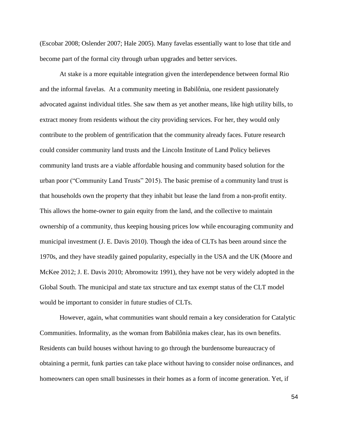(Escobar 2008; Oslender 2007; Hale 2005). Many favelas essentially want to lose that title and become part of the formal city through urban upgrades and better services.

At stake is a more equitable integration given the interdependence between formal Rio and the informal favelas. At a community meeting in Babilônia, one resident passionately advocated against individual titles. She saw them as yet another means, like high utility bills, to extract money from residents without the city providing services. For her, they would only contribute to the problem of gentrification that the community already faces. Future research could consider community land trusts and the Lincoln Institute of Land Policy believes community land trusts are a viable affordable housing and community based solution for the urban poor ("Community Land Trusts" 2015). The basic premise of a community land trust is that households own the property that they inhabit but lease the land from a non-profit entity. This allows the home-owner to gain equity from the land, and the collective to maintain ownership of a community, thus keeping housing prices low while encouraging community and municipal investment (J. E. Davis 2010). Though the idea of CLTs has been around since the 1970s, and they have steadily gained popularity, especially in the USA and the UK (Moore and McKee 2012; J. E. Davis 2010; Abromowitz 1991), they have not be very widely adopted in the Global South. The municipal and state tax structure and tax exempt status of the CLT model would be important to consider in future studies of CLTs.

However, again, what communities want should remain a key consideration for Catalytic Communities. Informality, as the woman from Babilônia makes clear, has its own benefits. Residents can build houses without having to go through the burdensome bureaucracy of obtaining a permit, funk parties can take place without having to consider noise ordinances, and homeowners can open small businesses in their homes as a form of income generation. Yet, if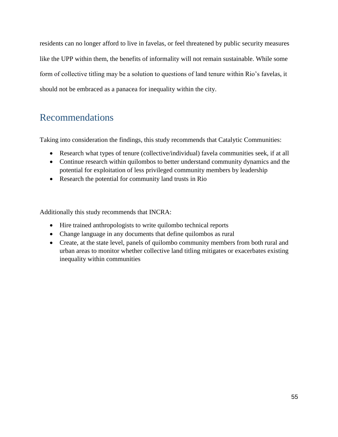residents can no longer afford to live in favelas, or feel threatened by public security measures like the UPP within them, the benefits of informality will not remain sustainable. While some form of collective titling may be a solution to questions of land tenure within Rio's favelas, it should not be embraced as a panacea for inequality within the city.

# Recommendations

Taking into consideration the findings, this study recommends that Catalytic Communities:

- Research what types of tenure (collective/individual) favela communities seek, if at all
- Continue research within quilombos to better understand community dynamics and the potential for exploitation of less privileged community members by leadership
- Research the potential for community land trusts in Rio

Additionally this study recommends that INCRA:

- Hire trained anthropologists to write quilombo technical reports
- Change language in any documents that define quilombos as rural
- Create, at the state level, panels of quilombo community members from both rural and urban areas to monitor whether collective land titling mitigates or exacerbates existing inequality within communities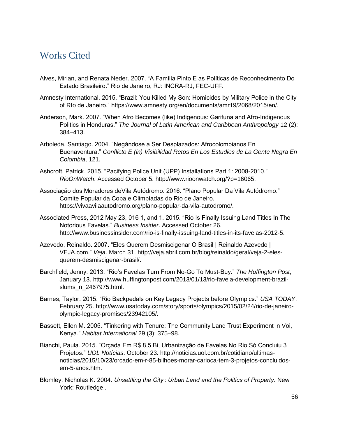## Works Cited

- Alves, Mirian, and Renata Neder. 2007. "A Família Pinto E as Políticas de Reconhecimento Do Estado Brasileiro." Rio de Janeiro, RJ: INCRA-RJ, FEC-UFF.
- Amnesty International. 2015. "Brazil: You Killed My Son: Homicides by Military Police in the City of RIo de Janeiro." https://www.amnesty.org/en/documents/amr19/2068/2015/en/.
- Anderson, Mark. 2007. "When Afro Becomes (like) Indigenous: Garifuna and Afro-Indigenous Politics in Honduras." *The Journal of Latin American and Caribbean Anthropology* 12 (2): 384–413.
- Arboleda, Santiago. 2004. "Negándose a Ser Desplazados: Afrocolombianos En Buenaventura." *Conflicto E (in) Visibilidad Retos En Los Estudios de La Gente Negra En Colombia*, 121.
- Ashcroft, Patrick. 2015. "Pacifying Police Unit (UPP) Installations Part 1: 2008-2010." *RioOnWatch*. Accessed October 5. http://www.rioonwatch.org/?p=16065.
- Associação dos Moradores deVila Autódromo. 2016. "Plano Popular Da Vila Autódromo." Comite Popular da Copa e Olimpíadas do Rio de Janeiro. https://vivaavilaautodromo.org/plano-popular-da-vila-autodromo/.
- Associated Press, 2012 May 23, 016 1, and 1. 2015. "Rio Is Finally Issuing Land Titles In The Notorious Favelas." *Business Insider*. Accessed October 26. http://www.businessinsider.com/rio-is-finally-issuing-land-titles-in-its-favelas-2012-5.
- Azevedo, Reinaldo. 2007. "Eles Querem Desmiscigenar O Brasil | Reinaldo Azevedo | VEJA.com." *Veja*. March 31. http://veja.abril.com.br/blog/reinaldo/geral/veja-2-elesquerem-desmiscigenar-brasil/.
- Barchfield, Jenny. 2013. "Rio's Favelas Turn From No-Go To Must-Buy." *The Huffington Post*, January 13. http://www.huffingtonpost.com/2013/01/13/rio-favela-development-brazilslums\_n\_2467975.html.
- Barnes, Taylor. 2015. "Rio Backpedals on Key Legacy Projects before Olympics." *USA TODAY*. February 25. http://www.usatoday.com/story/sports/olympics/2015/02/24/rio-de-janeiroolympic-legacy-promises/23942105/.
- Bassett, Ellen M. 2005. "Tinkering with Tenure: The Community Land Trust Experiment in Voi, Kenya." *Habitat International* 29 (3): 375–98.
- Bianchi, Paula. 2015. "Orçada Em R\$ 8,5 Bi, Urbanização de Favelas No Rio Só Concluiu 3 Projetos." *UOL Notícias*. October 23. http://noticias.uol.com.br/cotidiano/ultimasnoticias/2015/10/23/orcado-em-r-85-bilhoes-morar-carioca-tem-3-projetos-concluidosem-5-anos.htm.
- Blomley, Nicholas K. 2004. *Unsettling the City : Urban Land and the Politics of Property*. New York: Routledge,.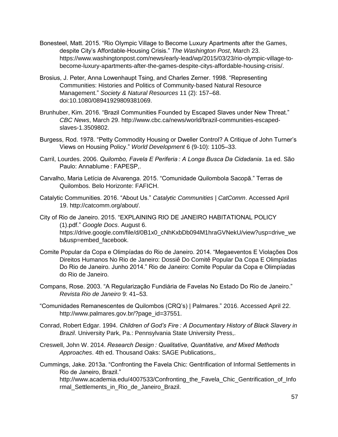- Bonesteel, Matt. 2015. "Rio Olympic Village to Become Luxury Apartments after the Games, despite City's Affordable-Housing Crisis." *The Washington Post*, March 23. https://www.washingtonpost.com/news/early-lead/wp/2015/03/23/rio-olympic-village-tobecome-luxury-apartments-after-the-games-despite-citys-affordable-housing-crisis/.
- Brosius, J. Peter, Anna Lowenhaupt Tsing, and Charles Zerner. 1998. "Representing Communities: Histories and Politics of Community‐based Natural Resource Management." *Society & Natural Resources* 11 (2): 157–68. doi:10.1080/08941929809381069.
- Brunhuber, Kim. 2016. "Brazil Communities Founded by Escaped Slaves under New Threat." *CBC News*, March 29. http://www.cbc.ca/news/world/brazil-communities-escapedslaves-1.3509802.
- Burgess, Rod. 1978. "Petty Commodity Housing or Dweller Control? A Critique of John Turner's Views on Housing Policy." *World Development* 6 (9-10): 1105–33.
- Carril, Lourdes. 2006. *Quilombo, Favela E Periferia : A Longa Busca Da Cidadania*. 1a ed. São Paulo: Annablume : FAPESP,.
- Carvalho, Maria Letícia de Alvarenga. 2015. "Comunidade Quilombola Sacopã." Terras de Quilombos. Belo Horizonte: FAFICH.
- Catalytic Communities. 2016. "About Us." *Catalytic Communities | CatComm*. Accessed April 19. http://catcomm.org/about/.

City of Rio de Janeiro. 2015. "EXPLAINING RIO DE JANEIRO HABITATIONAL POLICY (1).pdf." *Google Docs*. August 6. https://drive.google.com/file/d/0B1x0\_cNhKxbDb094M1hraGVNekU/view?usp=drive\_we b&usp=embed\_facebook.

- Comite Popular da Copa e Olimpíadas do Rio de Janeiro. 2014. "Megaeventos E Violações Dos Direitos Humanos No Rio de Janeiro: Dossiê Do Comitê Popular Da Copa E Olimpíadas Do Rio de Janeiro. Junho 2014." Rio de Janeiro: Comite Popular da Copa e Olimpíadas do Rio de Janeiro.
- Compans, Rose. 2003. "A Regularização Fundiária de Favelas No Estado Do Rio de Janeiro." *Revista Rio de Janeiro* 9: 41–53.
- "Comunidades Remanescentes de Quilombos (CRQ's) | Palmares." 2016. Accessed April 22. http://www.palmares.gov.br/?page\_id=37551.
- Conrad, Robert Edgar. 1994. *Children of God's Fire : A Documentary History of Black Slavery in Brazil*. University Park, Pa.: Pennsylvania State University Press,.
- Creswell, John W. 2014. *Research Design : Qualitative, Quantitative, and Mixed Methods Approaches*. 4th ed. Thousand Oaks: SAGE Publications,.
- Cummings, Jake. 2013a. "Confronting the Favela Chic: Gentrification of Informal Settlements in Rio de Janeiro, Brazil."

http://www.academia.edu/4007533/Confronting the Favela Chic Gentrification of Info rmal Settlements in Rio de Janeiro Brazil.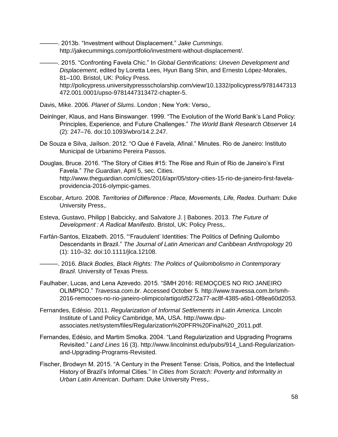———. 2013b. "Investment without Displacement." *Jake Cummings*. http://jakecummings.com/portfolio/investment-without-displacement/.

———. 2015. "Confronting Favela Chic." In *Global Gentrifications: Uneven Development and Displacement*, edited by Loretta Lees, Hyun Bang Shin, and Ernesto López-Morales, 81–100. Bristol, UK: Policy Press. http://policypress.universitypressscholarship.com/view/10.1332/policypress/9781447313

472.001.0001/upso-9781447313472-chapter-5.

Davis, Mike. 2006. *Planet of Slums*. London ; New York: Verso,.

- Deinlnger, Klaus, and Hans Binswanger. 1999. "The Evolution of the World Bank's Land Policy: Principles, Experience, and Future Challenges." *The World Bank Research Observer* 14 (2): 247–76. doi:10.1093/wbro/14.2.247.
- De Souza e Silva, Jaílson. 2012. "O Que é Favela, Afinal." Minutes. Rio de Janeiro: Instituto Municipal de Urbanimo Pereira Passos.
- Douglas, Bruce. 2016. "The Story of Cities #15: The Rise and Ruin of Rio de Janeiro's First Favela." *The Guardian*, April 5, sec. Cities. http://www.theguardian.com/cities/2016/apr/05/story-cities-15-rio-de-janeiro-first-favelaprovidencia-2016-olympic-games.
- Escobar, Arturo. 2008. *Territories of Difference : Place, Movements, Life, Redes*. Durham: Duke University Press,.
- Esteva, Gustavo, Philipp | Babcicky, and Salvatore J. | Babones. 2013. *The Future of Development : A Radical Manifesto*. Bristol, UK: Policy Press,.
- Farfán-Santos, Elizabeth. 2015. "'Fraudulent' Identities: The Politics of Defining Quilombo Descendants in Brazil." *The Journal of Latin American and Caribbean Anthropology* 20 (1): 110–32. doi:10.1111/jlca.12108.
- ———. 2016. *Black Bodies, Black Rights: The Politics of Quilombolismo in Contemporary Brazil*. University of Texas Press.
- Faulhaber, Lucas, and Lena Azevedo. 2015. "SMH 2016: REMOÇOES NO RIO JANEIRO OLIMPICO." *Travessa.com.br*. Accessed October 5. http://www.travessa.com.br/smh-2016-remocoes-no-rio-janeiro-olimpico/artigo/d5272a77-ac8f-4385-a6b1-0f8ea60d2053.
- Fernandes, Edésio. 2011. *Regularization of Informal Settlements in Latin America*. Lincoln Institute of Land Policy Cambridge, MA, USA. http://www.dpuassociates.net/system/files/Regularization%20PFR%20Final%20\_2011.pdf.
- Fernandes, Edésio, and Martim Smolka. 2004. "Land Regularization and Upgrading Programs Revisited." *Land Lines* 16 (3). http://www.lincolninst.edu/pubs/914\_Land-Regularizationand-Upgrading-Programs-Revisited.
- Fischer, Brodwyn M. 2015. "A Century in the Present Tense: Crisis, Poitics, and the Intellectual History of Brazil's Informal Cities." In *Cities from Scratch: Poverty and Informality in Urban Latin American*. Durham: Duke University Press,.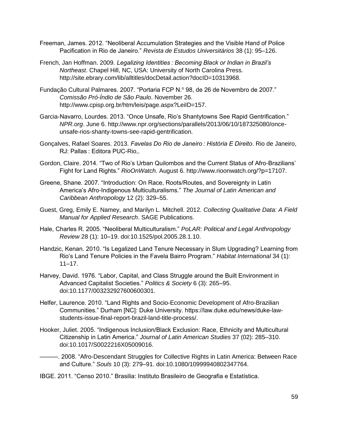- Freeman, James. 2012. "Neoliberal Accumulation Strategies and the Visible Hand of Police Pacification in Rio de Janeiro." *Revista de Estudos Universitários* 38 (1): 95–126.
- French, Jan Hoffman. 2009. *Legalizing Identities : Becoming Black or Indian in Brazil's Northeast*. Chapel Hill, NC, USA: University of North Carolina Press. http://site.ebrary.com/lib/alltitles/docDetail.action?docID=10313968.
- Fundação Cultural Palmares. 2007. "Portaria FCP N.º 98, de 26 de Novembro de 2007." *Comissão Pró-Índio de São Paulo*. November 26. http://www.cpisp.org.br/htm/leis/page.aspx?LeiID=157.
- Garcia-Navarro, Lourdes. 2013. "Once Unsafe, Rio's Shantytowns See Rapid Gentrification." *NPR.org*. June 6. http://www.npr.org/sections/parallels/2013/06/10/187325080/onceunsafe-rios-shanty-towns-see-rapid-gentrification.
- Gonçalves, Rafael Soares. 2013. *Favelas Do Rio de Janeiro : História E Direito*. Rio de Janeiro, RJ: Pallas : Editora PUC-Rio,.
- Gordon, Claire. 2014. "Two of Rio's Urban Quilombos and the Current Status of Afro-Brazilians' Fight for Land Rights." *RioOnWatch*. August 6. http://www.rioonwatch.org/?p=17107.
- Greene, Shane. 2007. "Introduction: On Race, Roots/Routes, and Sovereignty in Latin America's Afro-Indigenous Multiculturalisms." *The Journal of Latin American and Caribbean Anthropology* 12 (2): 329–55.
- Guest, Greg, Emily E. Namey, and Marilyn L. Mitchell. 2012. *Collecting Qualitative Data: A Field Manual for Applied Research*. SAGE Publications.
- Hale, Charles R. 2005. "Neoliberal Multiculturalism." *PoLAR: Political and Legal Anthropology Review* 28 (1): 10–19. doi:10.1525/pol.2005.28.1.10.
- Handzic, Kenan. 2010. "Is Legalized Land Tenure Necessary in Slum Upgrading? Learning from Rio's Land Tenure Policies in the Favela Bairro Program." *Habitat International* 34 (1):  $11 - 17.$
- Harvey, David. 1976. "Labor, Capital, and Class Struggle around the Built Environment in Advanced Capitalist Societies." *Politics & Society* 6 (3): 265–95. doi:10.1177/003232927600600301.
- Helfer, Laurence. 2010. "Land Rights and Socio-Economic Development of Afro-Brazilian Communities." Durham [NC]: Duke University. https://law.duke.edu/news/duke-lawstudents-issue-final-report-brazil-land-title-process/.
- Hooker, Juliet. 2005. "Indigenous Inclusion/Black Exclusion: Race, Ethnicity and Multicultural Citizenship in Latin America." *Journal of Latin American Studies* 37 (02): 285–310. doi:10.1017/S0022216X05009016.
- ———. 2008. "Afro-Descendant Struggles for Collective Rights in Latin America: Between Race and Culture." *Souls* 10 (3): 279–91. doi:10.1080/10999940802347764.
- IBGE. 2011. "Censo 2010." Brasilia: Instituto Brasileiro de Geografia e Estatística.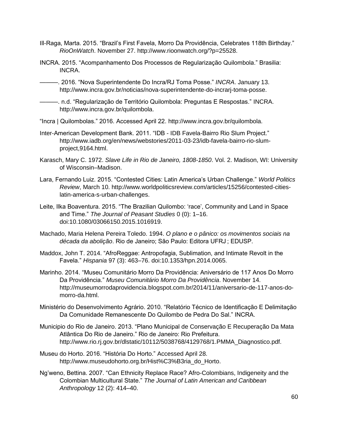- Ill-Raga, Marta. 2015. "Brazil's First Favela, Morro Da Providência, Celebrates 118th Birthday." *RioOnWatch*. November 27. http://www.rioonwatch.org/?p=25528.
- INCRA. 2015. "Acompanhamento Dos Processos de Regularização Quilombola." Brasilia: INCRA.

———. 2016. "Nova Superintendente Do Incra/RJ Toma Posse." *INCRA*. January 13. http://www.incra.gov.br/noticias/nova-superintendente-do-incrarj-toma-posse.

———. n.d. "Regularização de Território Quilombola: Preguntas E Respostas." INCRA. http://www.incra.gov.br/quilombola.

- "Incra | Quilombolas." 2016. Accessed April 22. http://www.incra.gov.br/quilombola.
- Inter-American Development Bank. 2011. "IDB IDB Favela-Bairro Rio Slum Project." http://www.iadb.org/en/news/webstories/2011-03-23/idb-favela-bairro-rio-slumproject,9164.html.
- Karasch, Mary C. 1972. *Slave Life in Rio de Janeiro, 1808-1850*. Vol. 2. Madison, WI: University of Wisconsin–Madison.
- Lara, Fernando Luiz. 2015. "Contested Cities: Latin America's Urban Challenge." *World Politics Review*, March 10. http://www.worldpoliticsreview.com/articles/15256/contested-citieslatin-america-s-urban-challenges.
- Leite, Ilka Boaventura. 2015. "The Brazilian Quilombo: 'race', Community and Land in Space and Time." *The Journal of Peasant Studies* 0 (0): 1–16. doi:10.1080/03066150.2015.1016919.
- Machado, Maria Helena Pereira Toledo. 1994. *O plano e o pânico: os movimentos sociais na década da abolição*. Rio de Janeiro; São Paulo: Editora UFRJ ; EDUSP.
- Maddox, John T. 2014. "AfroReggae: Antropofagia, Sublimation, and Intimate Revolt in the Favela." *Hispania* 97 (3): 463–76. doi:10.1353/hpn.2014.0065.
- Marinho. 2014. "Museu Comunitário Morro Da Providência: Aniversário de 117 Anos Do Morro Da Providência." *Museu Comunitário Morro Da Providência*. November 14. http://museumorrodaprovidencia.blogspot.com.br/2014/11/aniversario-de-117-anos-domorro-da.html.
- Ministério do Desenvolvimento Agrário. 2010. "Relatório Técnico de Identificação E Delimitação Da Comunidade Remanescente Do Quilombo de Pedra Do Sal." INCRA.
- Municipio do Rio de Janeiro. 2013. "Plano Municipal de Conservação E Recuperação Da Mata Atlântica Do Rio de Janeiro." Rio de Janeiro: Rio Prefeitura. http://www.rio.rj.gov.br/dlstatic/10112/5038768/4129768/1.PMMA\_Diagnostico.pdf.
- Museu do Horto. 2016. "História Do Horto." Accessed April 28. http://www.museudohorto.org.br/Hist%C3%B3ria\_do\_Horto.
- Ng'weno, Bettina. 2007. "Can Ethnicity Replace Race? Afro-Colombians, Indigeneity and the Colombian Multicultural State." *The Journal of Latin American and Caribbean Anthropology* 12 (2): 414–40.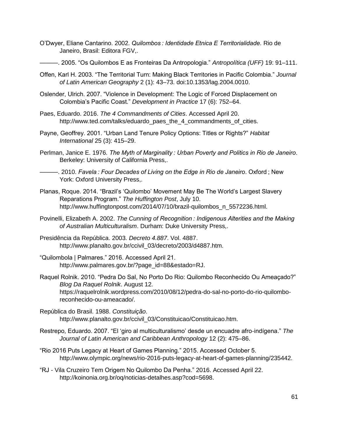- O'Dwyer, Eliane Cantarino. 2002. *Quilombos : Identidade Etnica E Territorialidade*. Rio de Janeiro, Brasil: Editora FGV,.
	- ———. 2005. "Os Quilombos E as Fronteiras Da Antropologia." *Antropolítica (UFF)* 19: 91–111.
- Offen, Karl H. 2003. "The Territorial Turn: Making Black Territories in Pacific Colombia." *Journal of Latin American Geography* 2 (1): 43–73. doi:10.1353/lag.2004.0010.
- Oslender, Ulrich. 2007. "Violence in Development: The Logic of Forced Displacement on Colombia's Pacific Coast." *Development in Practice* 17 (6): 752–64.
- Paes, Eduardo. 2016. *The 4 Commandments of Cities*. Accessed April 20. http://www.ted.com/talks/eduardo\_paes\_the\_4\_commandments\_of\_cities.
- Payne, Geoffrey. 2001. "Urban Land Tenure Policy Options: Titles or Rights?" *Habitat International* 25 (3): 415–29.
- Perlman, Janice E. 1976. *The Myth of Marginality : Urban Poverty and Politics in Rio de Janeiro*. Berkeley: University of California Press,.
	- ———. 2010. *Favela : Four Decades of Living on the Edge in Rio de Janeiro*. Oxford ; New York: Oxford University Press,.
- Planas, Roque. 2014. "Brazil's 'Quilombo' Movement May Be The World's Largest Slavery Reparations Program." *The Huffington Post*, July 10. http://www.huffingtonpost.com/2014/07/10/brazil-quilombos\_n\_5572236.html.
- Povinelli, Elizabeth A. 2002. *The Cunning of Recognition : Indigenous Alterities and the Making of Australian Multiculturalism*. Durham: Duke University Press,.
- Presidência da República. 2003. *Decreto 4.887*. Vol. 4887. http://www.planalto.gov.br/ccivil\_03/decreto/2003/d4887.htm.
- "Quilombola | Palmares." 2016. Accessed April 21. http://www.palmares.gov.br/?page\_id=88&estado=RJ.
- Raquel Rolnik. 2010. "Pedra Do Sal, No Porto Do Rio: Quilombo Reconhecido Ou Ameaçado?" *Blog Da Raquel Rolnik*. August 12. https://raquelrolnik.wordpress.com/2010/08/12/pedra-do-sal-no-porto-do-rio-quilomboreconhecido-ou-ameacado/.
- República do Brasil. 1988. *Constituição*. http://www.planalto.gov.br/ccivil\_03/Constituicao/Constituicao.htm.
- Restrepo, Eduardo. 2007. "El 'giro al multiculturalismo' desde un encuadre afro-indígena." *The Journal of Latin American and Caribbean Anthropology* 12 (2): 475–86.
- "Rio 2016 Puts Legacy at Heart of Games Planning." 2015. Accessed October 5. http://www.olympic.org/news/rio-2016-puts-legacy-at-heart-of-games-planning/235442.
- "RJ Vila Cruzeiro Tem Origem No Quilombo Da Penha." 2016. Accessed April 22. http://koinonia.org.br/oq/noticias-detalhes.asp?cod=5698.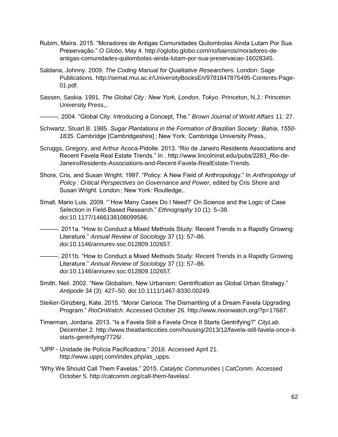- Rubim, Maíra. 2015. "Moradores de Antigas Comunidades Quilombolas Ainda Lutam Por Sua Preservação." *O Globo*, May 4. http://oglobo.globo.com/rio/bairros/moradores-deantigas-comunidades-quilombolas-ainda-lutam-por-sua-preservacao-16028345.
- Saldana, Johnny. 2009. *The Coding Manual for Qualitative Researchers*. London: Sage Publications. http://semat.mui.ac.ir/UniversityBooksEn/9781847875495-Contents-Page-01.pdf.
- Sassen, Saskia. 1991. *The Global City : New York, London, Tokyo*. Princeton, N.J.: Princeton University Press,,.
	- ———. 2004. "Global City: Introducing a Concept, The." *Brown Journal of World Affairs* 11: 27.
- Schwartz, Stuart B. 1985. *Sugar Plantations in the Formation of Brazilian Society : Bahia, 1550- 1835*. Cambridge [Cambridgeshire] ; New York: Cambridge University Press,.
- Scruggs, Gregory, and Arthur Acoca-Pidolle. 2013. "Rio de Janeiro Residents Associations and Recent Favela Real Estate Trends." In . http://www.lincolninst.edu/pubs/2283\_Rio-de-JaneiroResidents-Associations-and-Recent-Favela-RealEstate-Trends.
- Shore, Cris, and Susan Wright. 1997. "Policy: A New Field of Anthropology." In *Anthropology of Policy : Critical Perspectives on Governance and Power*, edited by Cris Shore and Susan Wright. London ; New York: Routledge,.
- Small, Mario Luis. 2009. "`How Many Cases Do I Need?' On Science and the Logic of Case Selection in Field-Based Research." *Ethnography* 10 (1): 5–38. doi:10.1177/1466138108099586.
- ———. 2011a. "How to Conduct a Mixed Methods Study: Recent Trends in a Rapidly Growing Literature." *Annual Review of Sociology* 37 (1): 57–86. doi:10.1146/annurev.soc.012809.102657.
- ———. 2011b. "How to Conduct a Mixed Methods Study: Recent Trends in a Rapidly Growing Literature." *Annual Review of Sociology* 37 (1): 57–86. doi:10.1146/annurev.soc.012809.102657.
- Smith, Neil. 2002. "New Globalism, New Urbanism: Gentrification as Global Urban Strategy." *Antipode* 34 (3): 427–50. doi:10.1111/1467-8330.00249.
- Steiker-Ginzberg, Kate. 2015. "Morar Carioca: The Dismantling of a Dream Favela Upgrading Program." *RioOnWatch*. Accessed October 26. http://www.rioonwatch.org/?p=17687.
- Timerman, Jordana. 2013. "Is a Favela Still a Favela Once It Starts Gentrifying?" *CityLab*. December 2. http://www.theatlanticcities.com/housing/2013/12/favela-still-favela-once-itstarts-gentrifying/7726/.
- "UPP Unidade de Polícia Pacificadora." 2016. Accessed April 21. http://www.upprj.com/index.php/as\_upps.
- "Why We Should Call Them Favelas." 2015. *Catalytic Communities | CatComm*. Accessed October 5. http://catcomm.org/call-them-favelas/.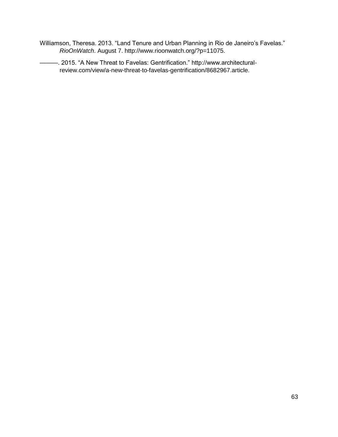- Williamson, Theresa. 2013. "Land Tenure and Urban Planning in Rio de Janeiro's Favelas." *RioOnWatch*. August 7. http://www.rioonwatch.org/?p=11075.
	- ———. 2015. "A New Threat to Favelas: Gentrification." http://www.architecturalreview.com/view/a-new-threat-to-favelas-gentrification/8682967.article.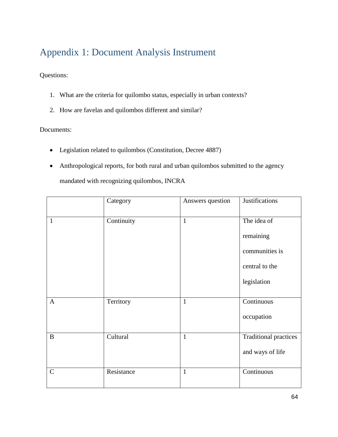# Appendix 1: Document Analysis Instrument

Questions:

- 1. What are the criteria for quilombo status, especially in urban contexts?
- 2. How are favelas and quilombos different and similar?

### Documents:

- Legislation related to quilombos (Constitution, Decree 4887)
- Anthropological reports, for both rural and urban quilombos submitted to the agency mandated with recognizing quilombos, INCRA

|              | Category   | Answers question | Justifications               |
|--------------|------------|------------------|------------------------------|
| $\mathbf{1}$ | Continuity | $\mathbf{1}$     | The idea of                  |
|              |            |                  | remaining                    |
|              |            |                  | communities is               |
|              |            |                  | central to the               |
|              |            |                  | legislation                  |
| $\mathbf{A}$ | Territory  | $\mathbf{1}$     | Continuous                   |
|              |            |                  | occupation                   |
| $\, {\bf B}$ | Cultural   | $\mathbf{1}$     | <b>Traditional practices</b> |
|              |            |                  | and ways of life             |
| $\mathbf C$  | Resistance | $\mathbf{1}$     | Continuous                   |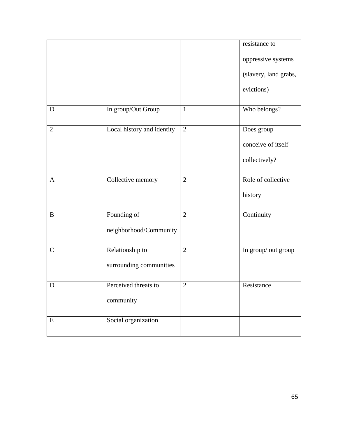|                |                            |                | resistance to         |
|----------------|----------------------------|----------------|-----------------------|
|                |                            |                | oppressive systems    |
|                |                            |                | (slavery, land grabs, |
|                |                            |                | evictions)            |
| $\mathbf D$    | In group/Out Group         | $\mathbf{1}$   | Who belongs?          |
| $\overline{2}$ | Local history and identity | $\overline{2}$ | Does group            |
|                |                            |                | conceive of itself    |
|                |                            |                | collectively?         |
| $\mathbf{A}$   | Collective memory          | $\overline{2}$ | Role of collective    |
|                |                            |                | history               |
| $\, {\bf B}$   | Founding of                | $\overline{2}$ | Continuity            |
|                | neighborhood/Community     |                |                       |
| $\mathcal{C}$  | Relationship to            | $\overline{2}$ | In group/ out group   |
|                | surrounding communities    |                |                       |
| D              | Perceived threats to       | $\overline{2}$ | Resistance            |
|                | community                  |                |                       |
| ${\bf E}$      | Social organization        |                |                       |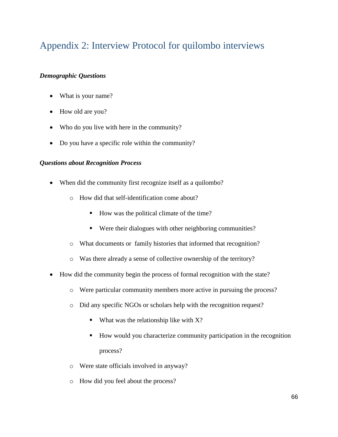# Appendix 2: Interview Protocol for quilombo interviews

### *Demographic Questions*

- What is your name?
- How old are you?
- Who do you live with here in the community?
- Do you have a specific role within the community?

### *Questions about Recognition Process*

- When did the community first recognize itself as a quilombo?
	- o How did that self-identification come about?
		- How was the political climate of the time?
		- Were their dialogues with other neighboring communities?
	- o What documents or family histories that informed that recognition?
	- o Was there already a sense of collective ownership of the territory?
- How did the community begin the process of formal recognition with the state?
	- o Were particular community members more active in pursuing the process?
	- o Did any specific NGOs or scholars help with the recognition request?
		- What was the relationship like with  $X$ ?
		- How would you characterize community participation in the recognition process?
	- o Were state officials involved in anyway?
	- o How did you feel about the process?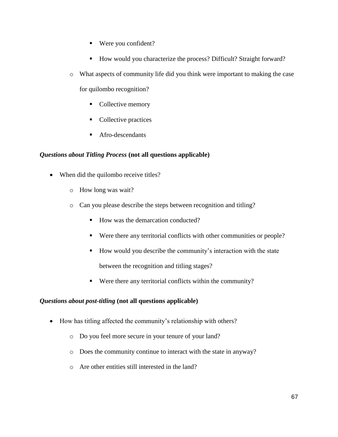- Were you confident?
- How would you characterize the process? Difficult? Straight forward?
- o What aspects of community life did you think were important to making the case for quilombo recognition?
	- Collective memory
	- Collective practices
	- Afro-descendants

### *Questions about Titling Process* **(not all questions applicable)**

- When did the quilombo receive titles?
	- o How long was wait?
	- o Can you please describe the steps between recognition and titling?
		- How was the demarcation conducted?
		- Were there any territorial conflicts with other communities or people?
		- How would you describe the community's interaction with the state between the recognition and titling stages?
		- Were there any territorial conflicts within the community?

#### *Questions about post-titling* **(not all questions applicable)**

- How has titling affected the community's relationship with others?
	- o Do you feel more secure in your tenure of your land?
	- o Does the community continue to interact with the state in anyway?
	- o Are other entities still interested in the land?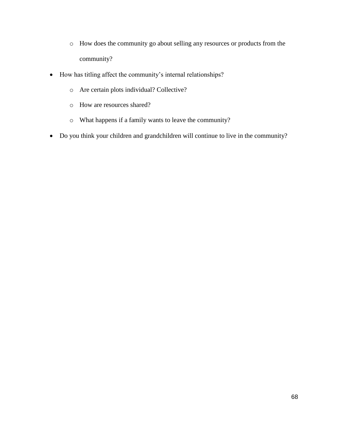- o How does the community go about selling any resources or products from the community?
- How has titling affect the community's internal relationships?
	- o Are certain plots individual? Collective?
	- o How are resources shared?
	- o What happens if a family wants to leave the community?
- Do you think your children and grandchildren will continue to live in the community?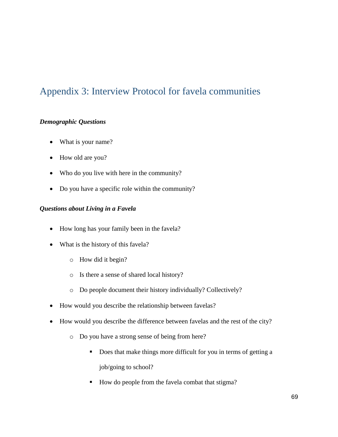## Appendix 3: Interview Protocol for favela communities

## *Demographic Questions*

- What is your name?
- How old are you?
- Who do you live with here in the community?
- Do you have a specific role within the community?

## *Questions about Living in a Favela*

- How long has your family been in the favela?
- What is the history of this favela?
	- o How did it begin?
	- o Is there a sense of shared local history?
	- o Do people document their history individually? Collectively?
- How would you describe the relationship between favelas?
- How would you describe the difference between favelas and the rest of the city?
	- o Do you have a strong sense of being from here?
		- Does that make things more difficult for you in terms of getting a job/going to school?
		- How do people from the favela combat that stigma?